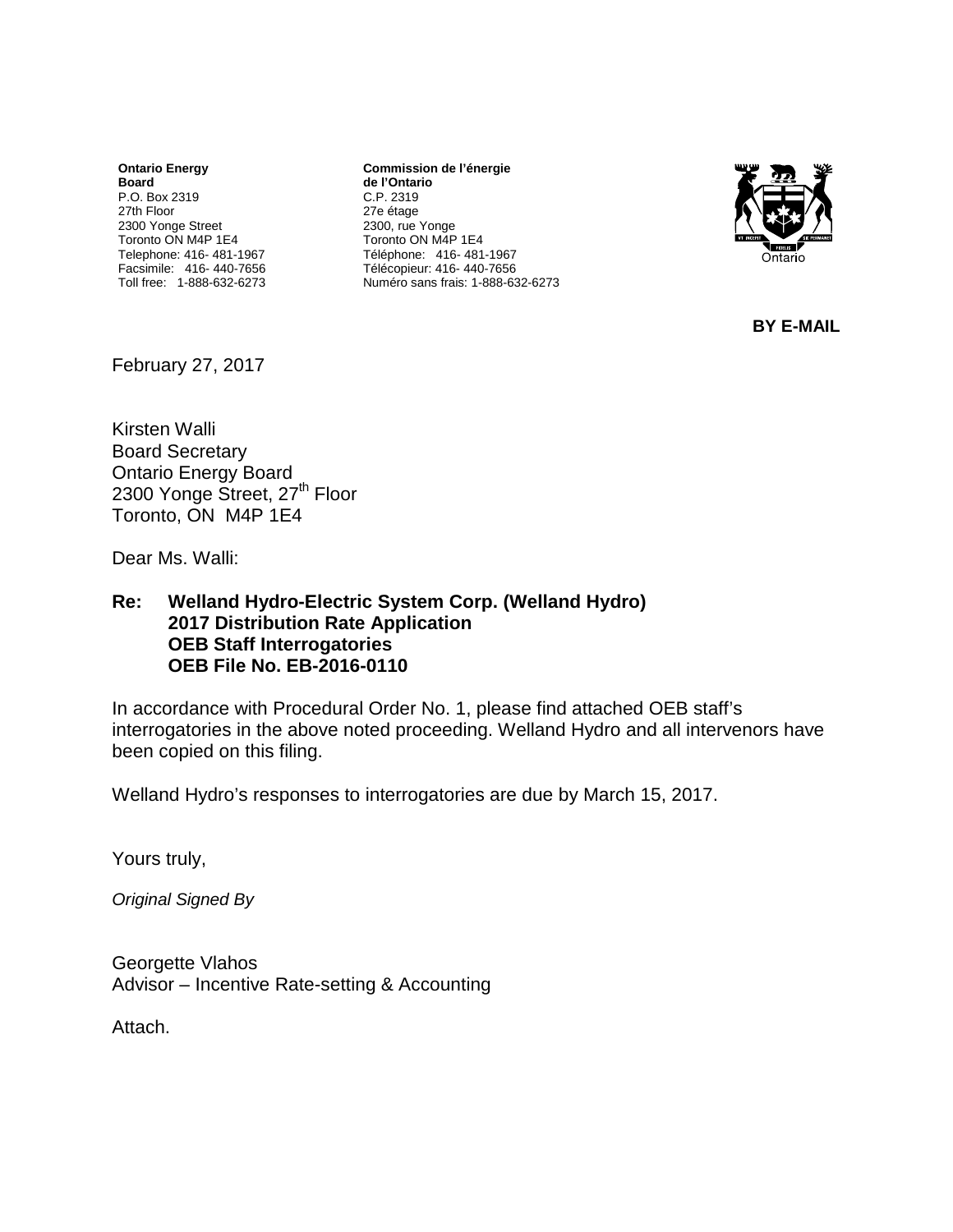**Ontario Energy Board** P.O. Box 2319 27th Floor 2300 Yonge Street Toronto ON M4P 1E4 Telephone: 416- 481-1967 Facsimile: 416- 440-7656 Toll free: 1-888-632-6273

**Commission de l'énergie de l'Ontario** C.P. 2319 27e étage 2300, rue Yonge Toronto ON M4P 1E4 Téléphone: 416- 481-1967 Télécopieur: 416- 440-7656 Numéro sans frais: 1-888-632-6273



**BY E-MAIL**

February 27, 2017

Kirsten Walli Board Secretary Ontario Energy Board 2300 Yonge Street, 27<sup>th</sup> Floor Toronto, ON M4P 1E4

Dear Ms. Walli:

#### **Re: Welland Hydro-Electric System Corp. (Welland Hydro) 2017 Distribution Rate Application OEB Staff Interrogatories OEB File No. EB-2016-0110**

In accordance with Procedural Order No. 1, please find attached OEB staff's interrogatories in the above noted proceeding. Welland Hydro and all intervenors have been copied on this filing.

Welland Hydro's responses to interrogatories are due by March 15, 2017.

Yours truly,

*Original Signed By*

Georgette Vlahos Advisor – Incentive Rate-setting & Accounting

Attach.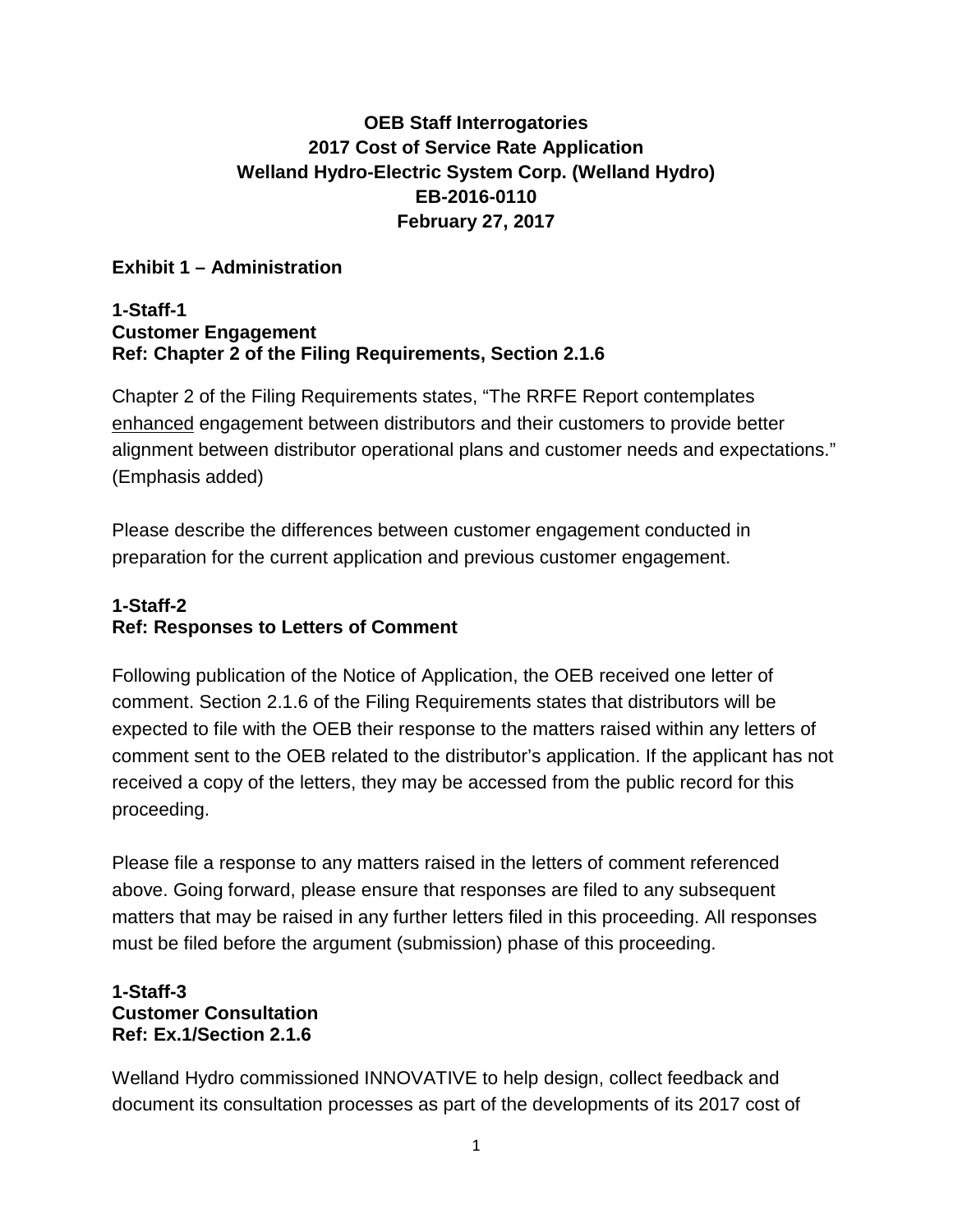# **OEB Staff Interrogatories 2017 Cost of Service Rate Application Welland Hydro-Electric System Corp. (Welland Hydro) EB-2016-0110 February 27, 2017**

### **Exhibit 1 – Administration**

#### **1-Staff-1 Customer Engagement Ref: Chapter 2 of the Filing Requirements, Section 2.1.6**

Chapter 2 of the Filing Requirements states, "The RRFE Report contemplates enhanced engagement between distributors and their customers to provide better alignment between distributor operational plans and customer needs and expectations." (Emphasis added)

Please describe the differences between customer engagement conducted in preparation for the current application and previous customer engagement.

# **1-Staff-2 Ref: Responses to Letters of Comment**

Following publication of the Notice of Application, the OEB received one letter of comment. Section 2.1.6 of the Filing Requirements states that distributors will be expected to file with the OEB their response to the matters raised within any letters of comment sent to the OEB related to the distributor's application. If the applicant has not received a copy of the letters, they may be accessed from the public record for this proceeding.

Please file a response to any matters raised in the letters of comment referenced above. Going forward, please ensure that responses are filed to any subsequent matters that may be raised in any further letters filed in this proceeding. All responses must be filed before the argument (submission) phase of this proceeding.

### **1-Staff-3 Customer Consultation Ref: Ex.1/Section 2.1.6**

Welland Hydro commissioned INNOVATIVE to help design, collect feedback and document its consultation processes as part of the developments of its 2017 cost of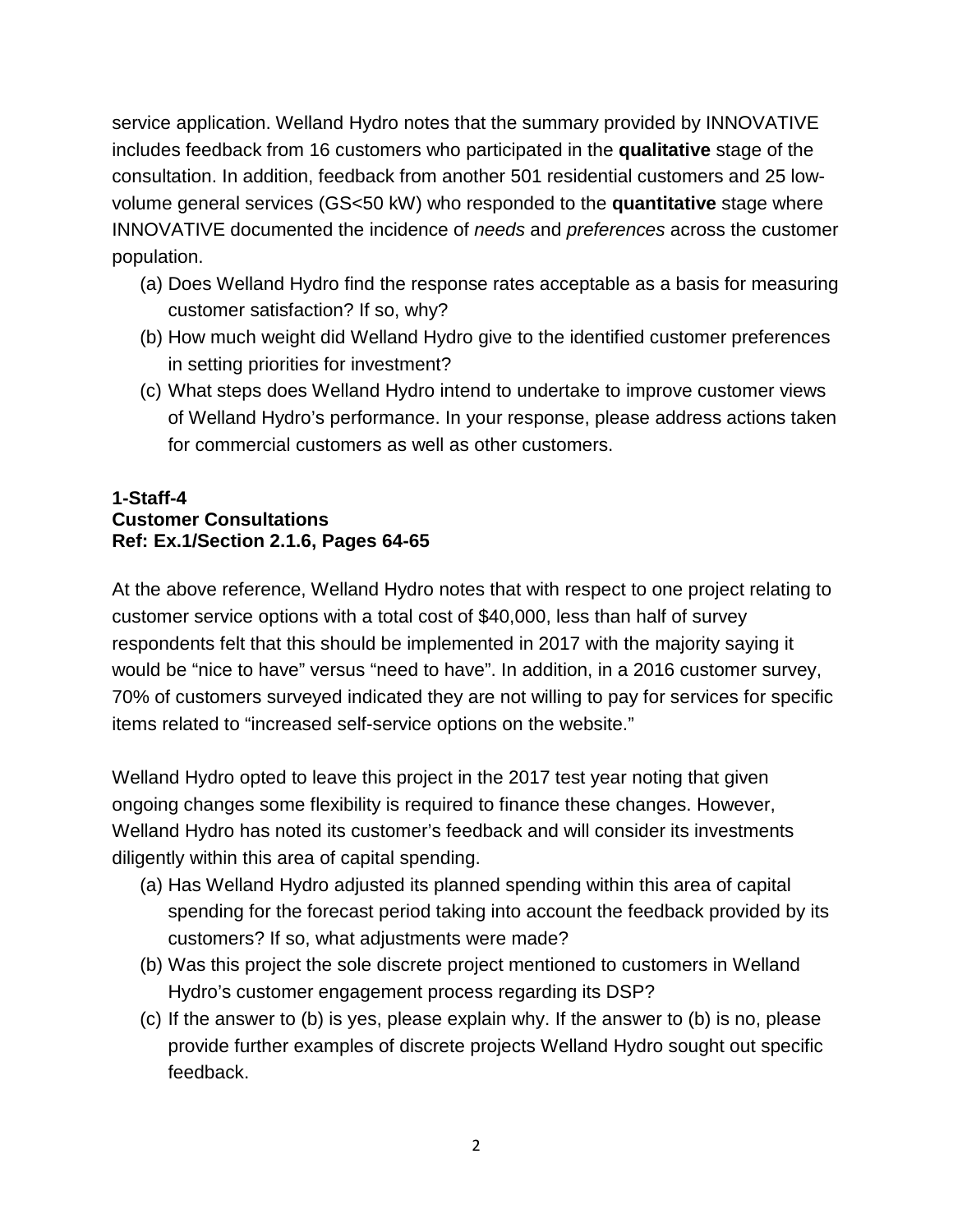service application. Welland Hydro notes that the summary provided by INNOVATIVE includes feedback from 16 customers who participated in the **qualitative** stage of the consultation. In addition, feedback from another 501 residential customers and 25 lowvolume general services (GS<50 kW) who responded to the **quantitative** stage where INNOVATIVE documented the incidence of *needs* and *preferences* across the customer population.

- (a) Does Welland Hydro find the response rates acceptable as a basis for measuring customer satisfaction? If so, why?
- (b) How much weight did Welland Hydro give to the identified customer preferences in setting priorities for investment?
- (c) What steps does Welland Hydro intend to undertake to improve customer views of Welland Hydro's performance. In your response, please address actions taken for commercial customers as well as other customers.

### **1-Staff-4 Customer Consultations Ref: Ex.1/Section 2.1.6, Pages 64-65**

At the above reference, Welland Hydro notes that with respect to one project relating to customer service options with a total cost of \$40,000, less than half of survey respondents felt that this should be implemented in 2017 with the majority saying it would be "nice to have" versus "need to have". In addition, in a 2016 customer survey, 70% of customers surveyed indicated they are not willing to pay for services for specific items related to "increased self-service options on the website."

Welland Hydro opted to leave this project in the 2017 test year noting that given ongoing changes some flexibility is required to finance these changes. However, Welland Hydro has noted its customer's feedback and will consider its investments diligently within this area of capital spending.

- (a) Has Welland Hydro adjusted its planned spending within this area of capital spending for the forecast period taking into account the feedback provided by its customers? If so, what adjustments were made?
- (b) Was this project the sole discrete project mentioned to customers in Welland Hydro's customer engagement process regarding its DSP?
- (c) If the answer to (b) is yes, please explain why. If the answer to (b) is no, please provide further examples of discrete projects Welland Hydro sought out specific feedback.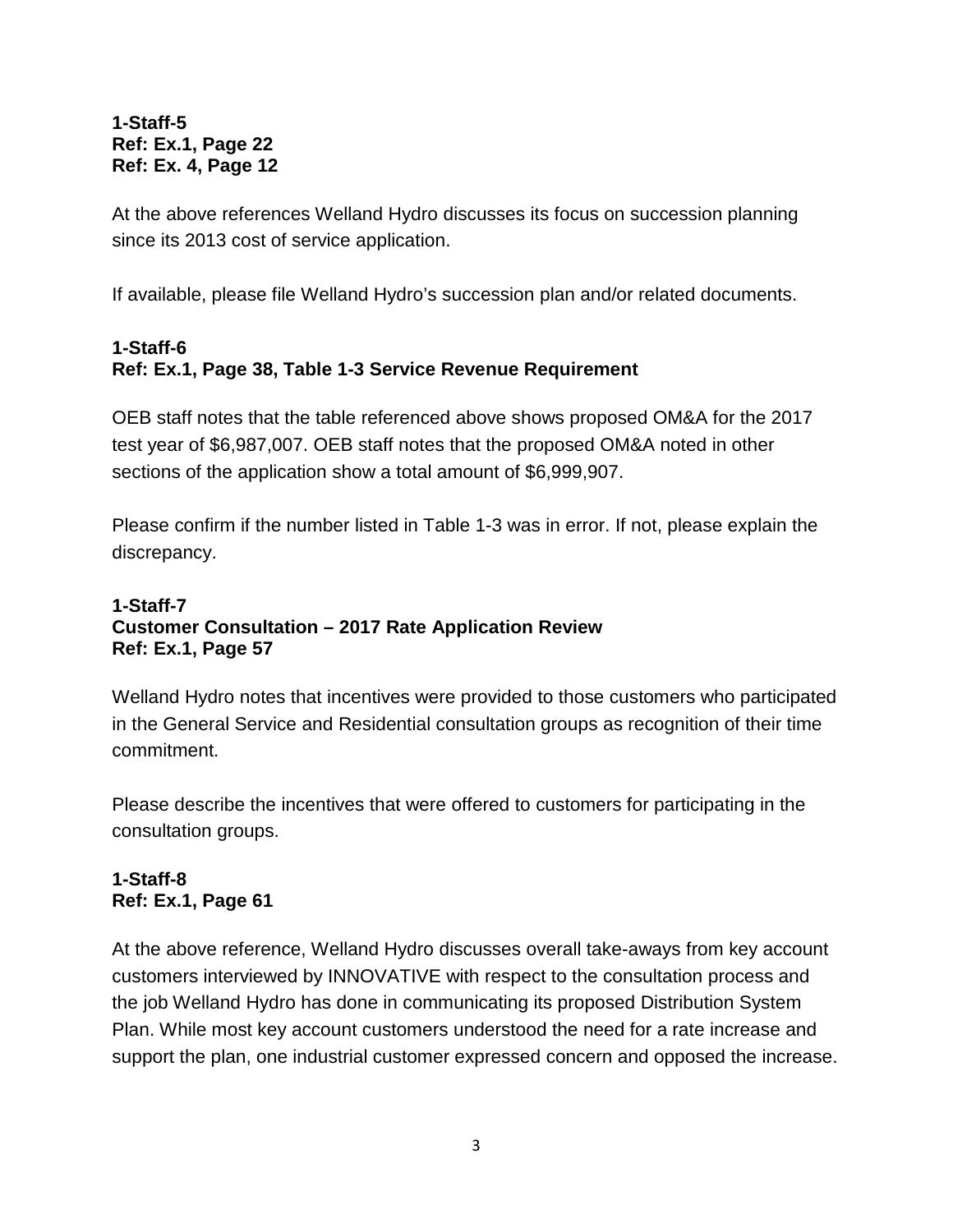#### **1-Staff-5 Ref: Ex.1, Page 22 Ref: Ex. 4, Page 12**

At the above references Welland Hydro discusses its focus on succession planning since its 2013 cost of service application.

If available, please file Welland Hydro's succession plan and/or related documents.

# **1-Staff-6 Ref: Ex.1, Page 38, Table 1-3 Service Revenue Requirement**

OEB staff notes that the table referenced above shows proposed OM&A for the 2017 test year of \$6,987,007. OEB staff notes that the proposed OM&A noted in other sections of the application show a total amount of \$6,999,907.

Please confirm if the number listed in Table 1-3 was in error. If not, please explain the discrepancy.

#### **1-Staff-7 Customer Consultation – 2017 Rate Application Review Ref: Ex.1, Page 57**

Welland Hydro notes that incentives were provided to those customers who participated in the General Service and Residential consultation groups as recognition of their time commitment.

Please describe the incentives that were offered to customers for participating in the consultation groups.

# **1-Staff-8 Ref: Ex.1, Page 61**

At the above reference, Welland Hydro discusses overall take-aways from key account customers interviewed by INNOVATIVE with respect to the consultation process and the job Welland Hydro has done in communicating its proposed Distribution System Plan. While most key account customers understood the need for a rate increase and support the plan, one industrial customer expressed concern and opposed the increase.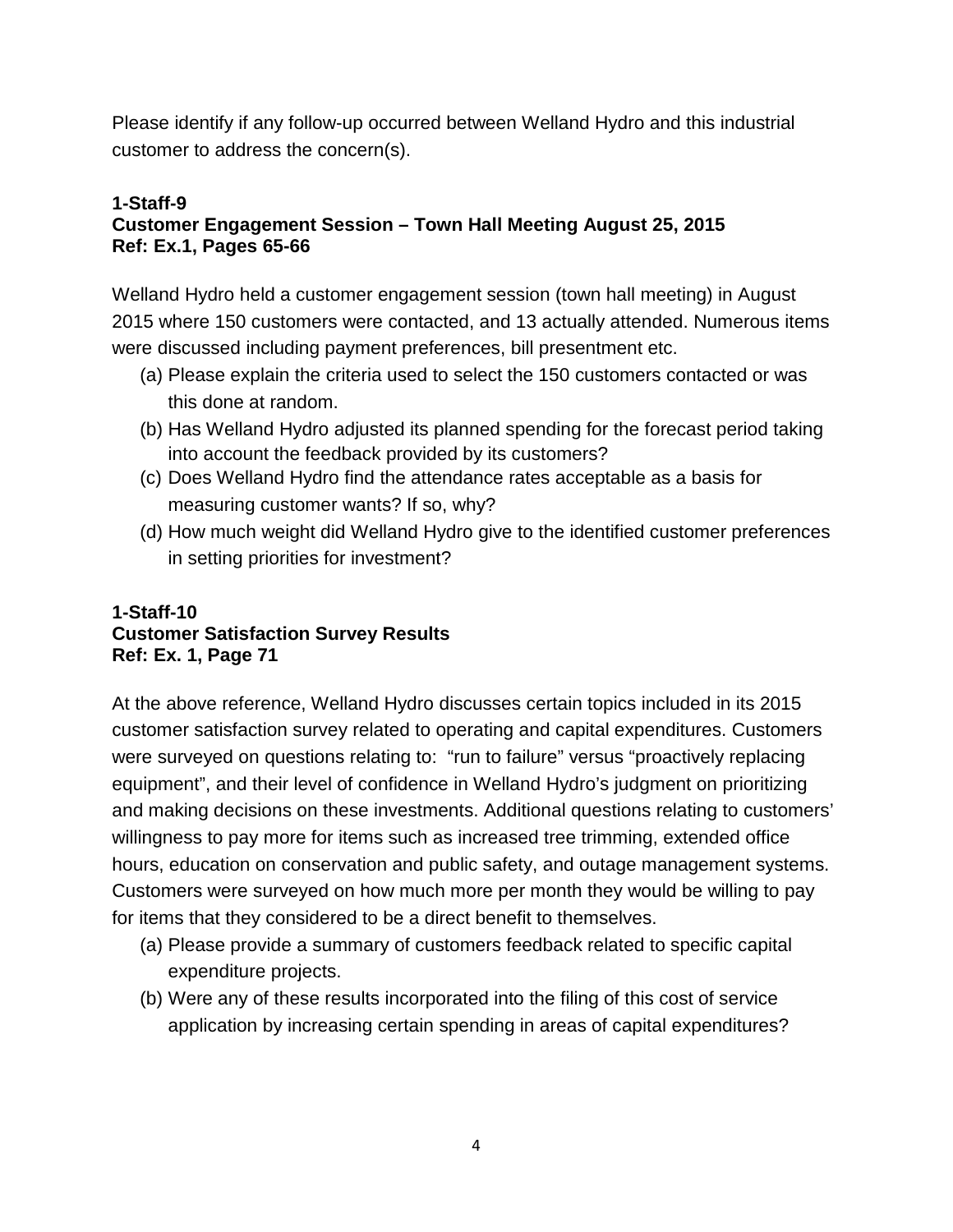Please identify if any follow-up occurred between Welland Hydro and this industrial customer to address the concern(s).

#### **1-Staff-9 Customer Engagement Session – Town Hall Meeting August 25, 2015 Ref: Ex.1, Pages 65-66**

Welland Hydro held a customer engagement session (town hall meeting) in August 2015 where 150 customers were contacted, and 13 actually attended. Numerous items were discussed including payment preferences, bill presentment etc.

- (a) Please explain the criteria used to select the 150 customers contacted or was this done at random.
- (b) Has Welland Hydro adjusted its planned spending for the forecast period taking into account the feedback provided by its customers?
- (c) Does Welland Hydro find the attendance rates acceptable as a basis for measuring customer wants? If so, why?
- (d) How much weight did Welland Hydro give to the identified customer preferences in setting priorities for investment?

# **1-Staff-10 Customer Satisfaction Survey Results Ref: Ex. 1, Page 71**

At the above reference, Welland Hydro discusses certain topics included in its 2015 customer satisfaction survey related to operating and capital expenditures. Customers were surveyed on questions relating to: "run to failure" versus "proactively replacing equipment", and their level of confidence in Welland Hydro's judgment on prioritizing and making decisions on these investments. Additional questions relating to customers' willingness to pay more for items such as increased tree trimming, extended office hours, education on conservation and public safety, and outage management systems. Customers were surveyed on how much more per month they would be willing to pay for items that they considered to be a direct benefit to themselves.

- (a) Please provide a summary of customers feedback related to specific capital expenditure projects.
- (b) Were any of these results incorporated into the filing of this cost of service application by increasing certain spending in areas of capital expenditures?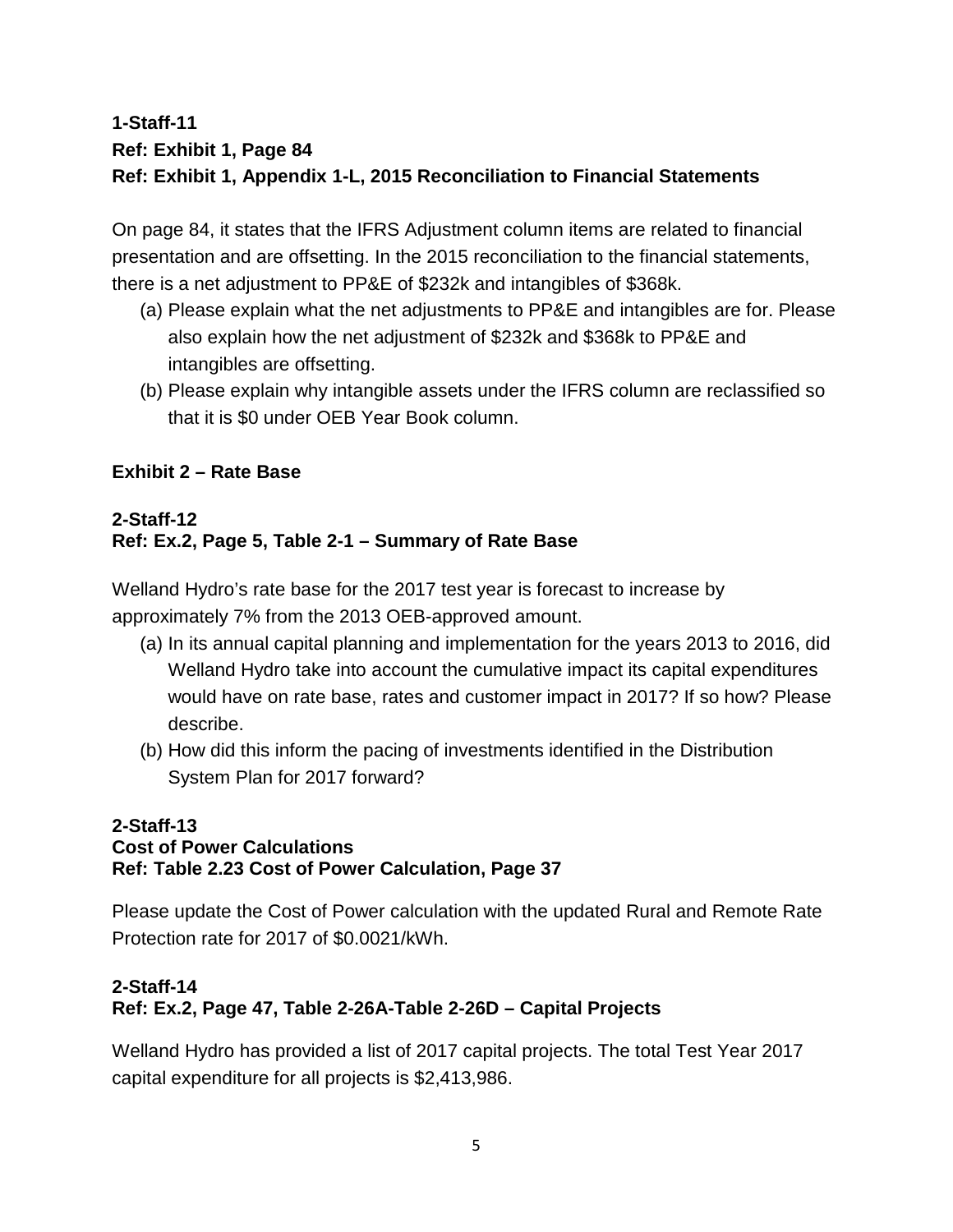# **1-Staff-11 Ref: Exhibit 1, Page 84 Ref: Exhibit 1, Appendix 1-L, 2015 Reconciliation to Financial Statements**

On page 84, it states that the IFRS Adjustment column items are related to financial presentation and are offsetting. In the 2015 reconciliation to the financial statements, there is a net adjustment to PP&E of \$232k and intangibles of \$368k.

- (a) Please explain what the net adjustments to PP&E and intangibles are for. Please also explain how the net adjustment of \$232k and \$368k to PP&E and intangibles are offsetting.
- (b) Please explain why intangible assets under the IFRS column are reclassified so that it is \$0 under OEB Year Book column.

# **Exhibit 2 – Rate Base**

# **2-Staff-12 Ref: Ex.2, Page 5, Table 2-1 – Summary of Rate Base**

Welland Hydro's rate base for the 2017 test year is forecast to increase by approximately 7% from the 2013 OEB-approved amount.

- (a) In its annual capital planning and implementation for the years 2013 to 2016, did Welland Hydro take into account the cumulative impact its capital expenditures would have on rate base, rates and customer impact in 2017? If so how? Please describe.
- (b) How did this inform the pacing of investments identified in the Distribution System Plan for 2017 forward?

# **2-Staff-13 Cost of Power Calculations Ref: Table 2.23 Cost of Power Calculation, Page 37**

Please update the Cost of Power calculation with the updated Rural and Remote Rate Protection rate for 2017 of \$0.0021/kWh.

# **2-Staff-14**

# **Ref: Ex.2, Page 47, Table 2-26A-Table 2-26D – Capital Projects**

Welland Hydro has provided a list of 2017 capital projects. The total Test Year 2017 capital expenditure for all projects is \$2,413,986.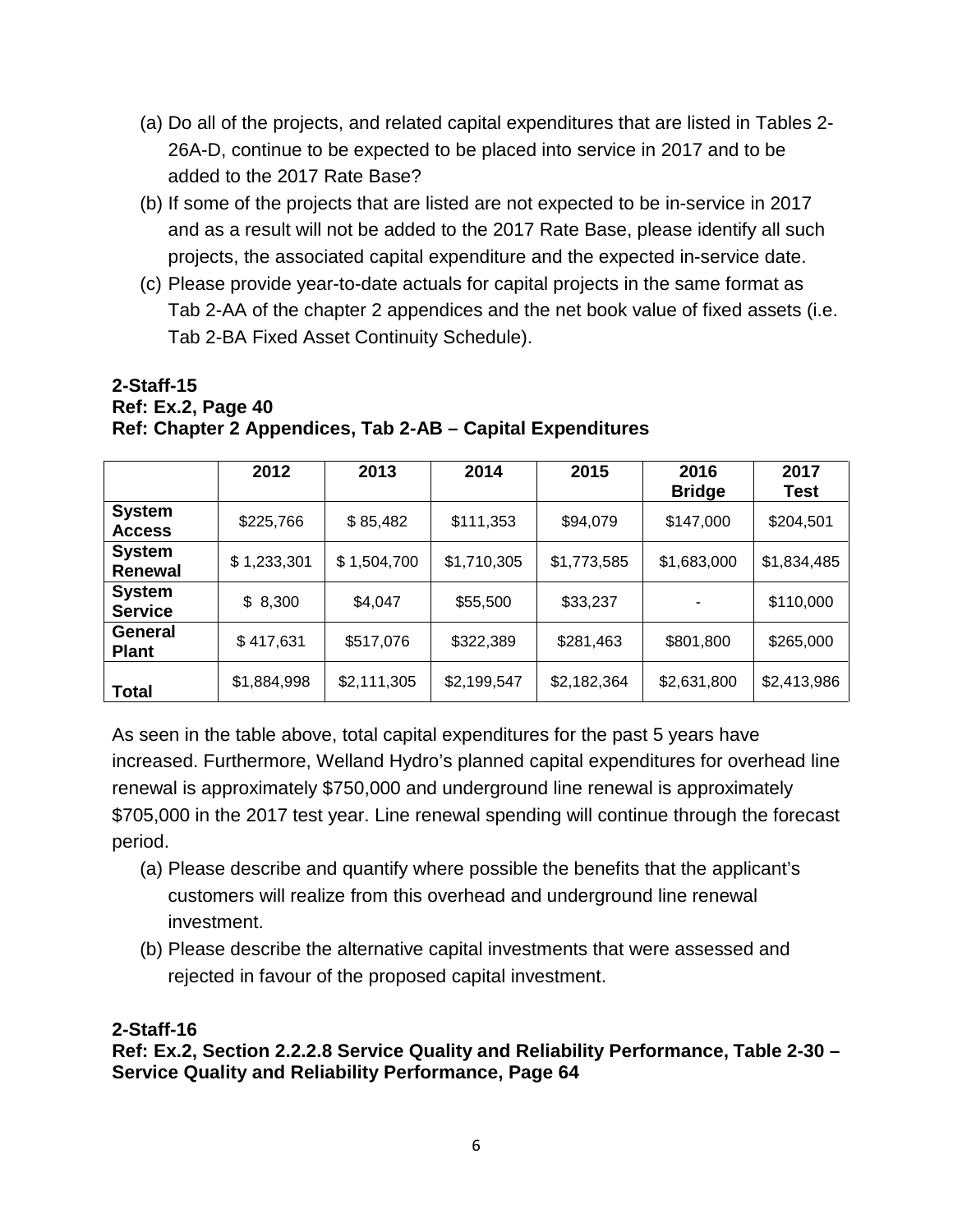- (a) Do all of the projects, and related capital expenditures that are listed in Tables 2- 26A-D, continue to be expected to be placed into service in 2017 and to be added to the 2017 Rate Base?
- (b) If some of the projects that are listed are not expected to be in-service in 2017 and as a result will not be added to the 2017 Rate Base, please identify all such projects, the associated capital expenditure and the expected in-service date.
- (c) Please provide year-to-date actuals for capital projects in the same format as Tab 2-AA of the chapter 2 appendices and the net book value of fixed assets (i.e. Tab 2-BA Fixed Asset Continuity Schedule).

#### **2-Staff-15 Ref: Ex.2, Page 40 Ref: Chapter 2 Appendices, Tab 2-AB – Capital Expenditures**

|                                 | 2012        | 2013        | 2014        | 2015        | 2016<br><b>Bridge</b> | 2017<br>Test |
|---------------------------------|-------------|-------------|-------------|-------------|-----------------------|--------------|
| <b>System</b><br><b>Access</b>  | \$225,766   | \$85,482    | \$111,353   | \$94,079    | \$147,000             | \$204,501    |
| <b>System</b><br>Renewal        | \$1,233,301 | \$1,504,700 | \$1,710,305 | \$1,773,585 | \$1,683,000           | \$1,834,485  |
| <b>System</b><br><b>Service</b> | \$8,300     | \$4,047     | \$55,500    | \$33,237    |                       | \$110,000    |
| General<br><b>Plant</b>         | \$417,631   | \$517,076   | \$322,389   | \$281,463   | \$801,800             | \$265,000    |
| <b>Total</b>                    | \$1,884,998 | \$2,111,305 | \$2,199,547 | \$2,182,364 | \$2,631,800           | \$2,413,986  |

As seen in the table above, total capital expenditures for the past 5 years have increased. Furthermore, Welland Hydro's planned capital expenditures for overhead line renewal is approximately \$750,000 and underground line renewal is approximately \$705,000 in the 2017 test year. Line renewal spending will continue through the forecast period.

- (a) Please describe and quantify where possible the benefits that the applicant's customers will realize from this overhead and underground line renewal investment.
- (b) Please describe the alternative capital investments that were assessed and rejected in favour of the proposed capital investment.

# **2-Staff-16**

**Ref: Ex.2, Section 2.2.2.8 Service Quality and Reliability Performance, Table 2-30 – Service Quality and Reliability Performance, Page 64**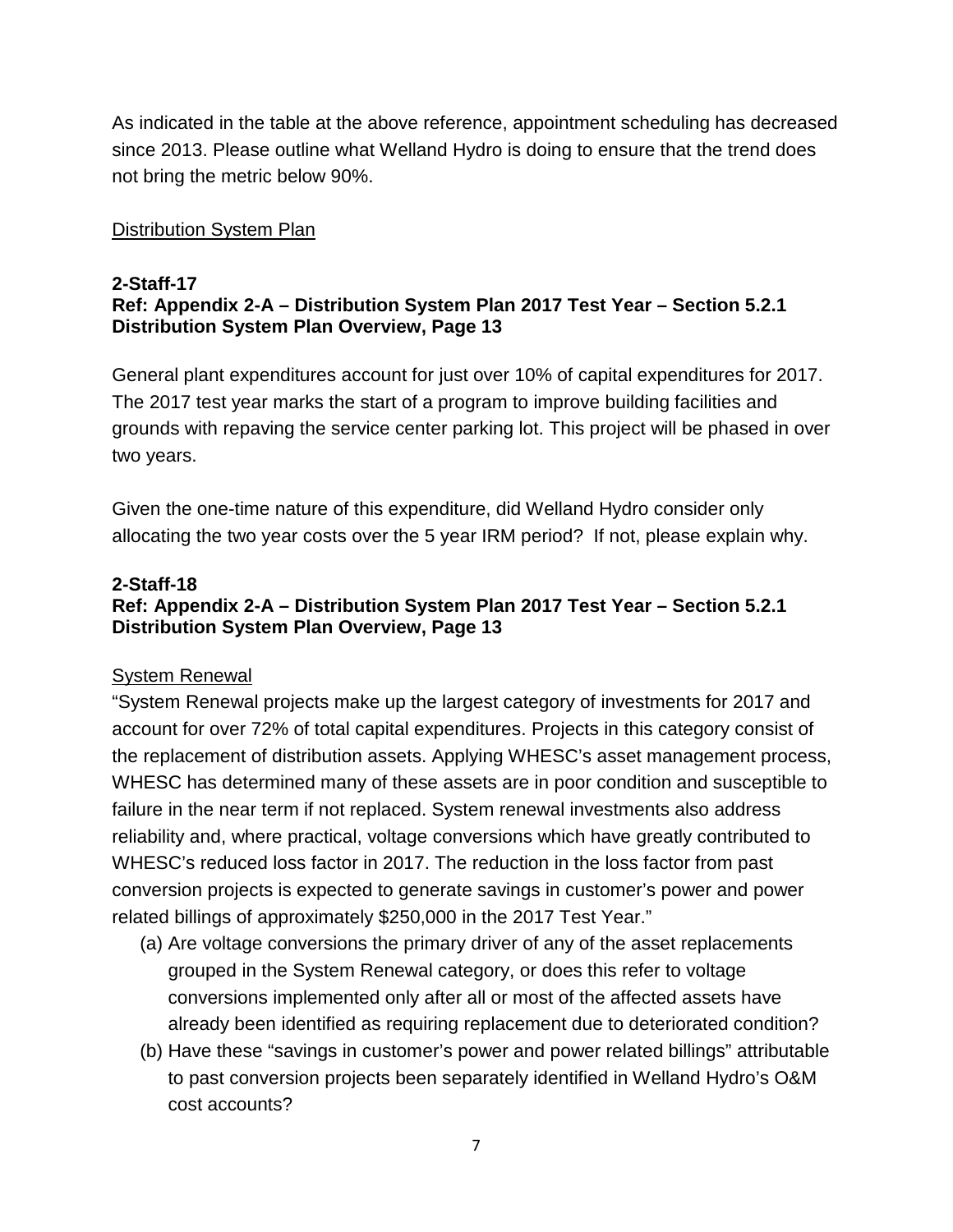As indicated in the table at the above reference, appointment scheduling has decreased since 2013. Please outline what Welland Hydro is doing to ensure that the trend does not bring the metric below 90%.

# Distribution System Plan

#### **2-Staff-17 Ref: Appendix 2-A – Distribution System Plan 2017 Test Year – Section 5.2.1 Distribution System Plan Overview, Page 13**

General plant expenditures account for just over 10% of capital expenditures for 2017. The 2017 test year marks the start of a program to improve building facilities and grounds with repaving the service center parking lot. This project will be phased in over two years.

Given the one-time nature of this expenditure, did Welland Hydro consider only allocating the two year costs over the 5 year IRM period? If not, please explain why.

# **2-Staff-18**

# **Ref: Appendix 2-A – Distribution System Plan 2017 Test Year – Section 5.2.1 Distribution System Plan Overview, Page 13**

#### System Renewal

"System Renewal projects make up the largest category of investments for 2017 and account for over 72% of total capital expenditures. Projects in this category consist of the replacement of distribution assets. Applying WHESC's asset management process, WHESC has determined many of these assets are in poor condition and susceptible to failure in the near term if not replaced. System renewal investments also address reliability and, where practical, voltage conversions which have greatly contributed to WHESC's reduced loss factor in 2017. The reduction in the loss factor from past conversion projects is expected to generate savings in customer's power and power related billings of approximately \$250,000 in the 2017 Test Year."

- (a) Are voltage conversions the primary driver of any of the asset replacements grouped in the System Renewal category, or does this refer to voltage conversions implemented only after all or most of the affected assets have already been identified as requiring replacement due to deteriorated condition?
- (b) Have these "savings in customer's power and power related billings" attributable to past conversion projects been separately identified in Welland Hydro's O&M cost accounts?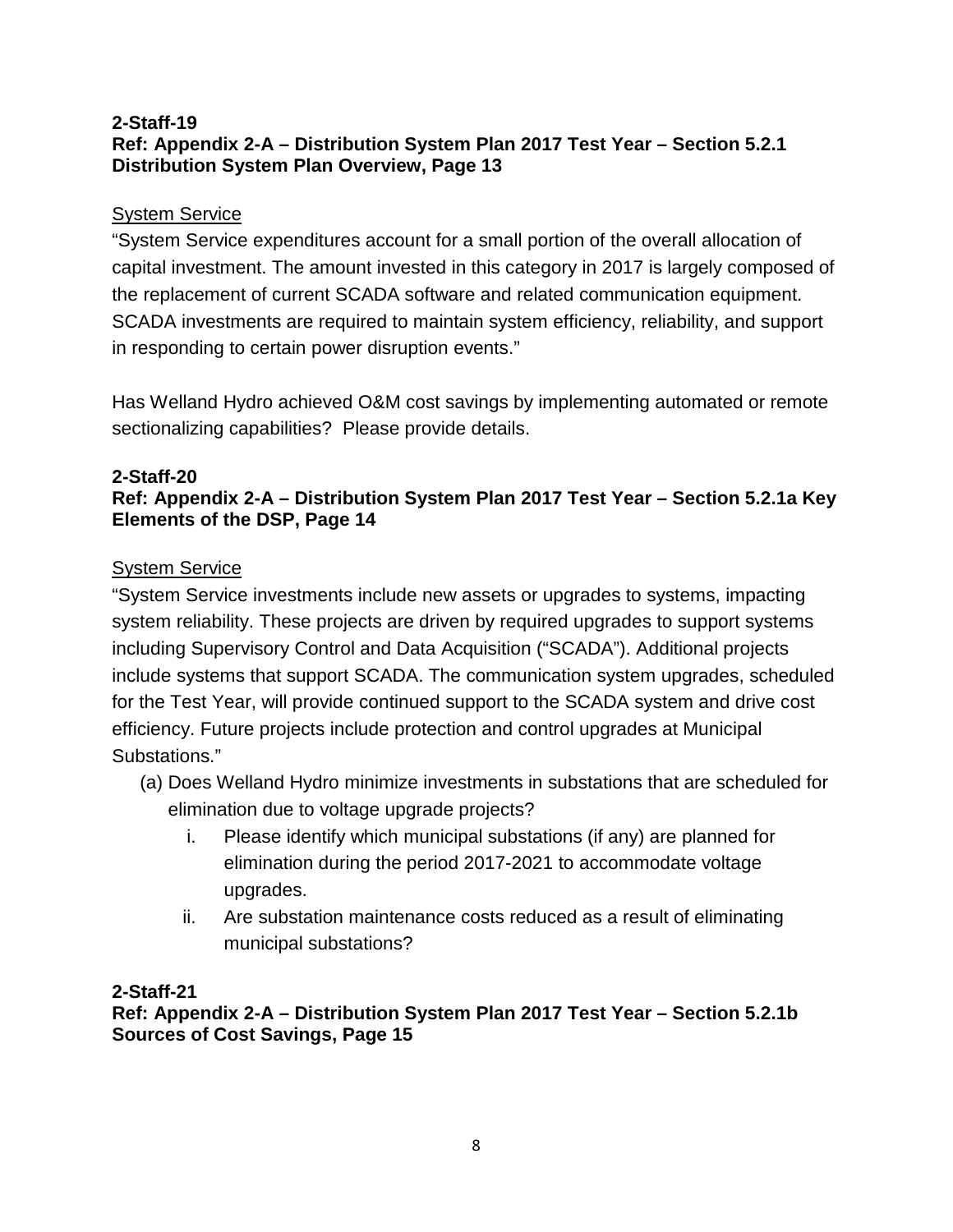### **2-Staff-19 Ref: Appendix 2-A – Distribution System Plan 2017 Test Year – Section 5.2.1 Distribution System Plan Overview, Page 13**

# System Service

"System Service expenditures account for a small portion of the overall allocation of capital investment. The amount invested in this category in 2017 is largely composed of the replacement of current SCADA software and related communication equipment. SCADA investments are required to maintain system efficiency, reliability, and support in responding to certain power disruption events."

Has Welland Hydro achieved O&M cost savings by implementing automated or remote sectionalizing capabilities? Please provide details.

#### **2-Staff-20 Ref: Appendix 2-A – Distribution System Plan 2017 Test Year – Section 5.2.1a Key Elements of the DSP, Page 14**

# System Service

"System Service investments include new assets or upgrades to systems, impacting system reliability. These projects are driven by required upgrades to support systems including Supervisory Control and Data Acquisition ("SCADA"). Additional projects include systems that support SCADA. The communication system upgrades, scheduled for the Test Year, will provide continued support to the SCADA system and drive cost efficiency. Future projects include protection and control upgrades at Municipal Substations."

- (a) Does Welland Hydro minimize investments in substations that are scheduled for elimination due to voltage upgrade projects?
	- i. Please identify which municipal substations (if any) are planned for elimination during the period 2017-2021 to accommodate voltage upgrades.
	- ii. Are substation maintenance costs reduced as a result of eliminating municipal substations?

# **2-Staff-21**

**Ref: Appendix 2-A – Distribution System Plan 2017 Test Year – Section 5.2.1b Sources of Cost Savings, Page 15**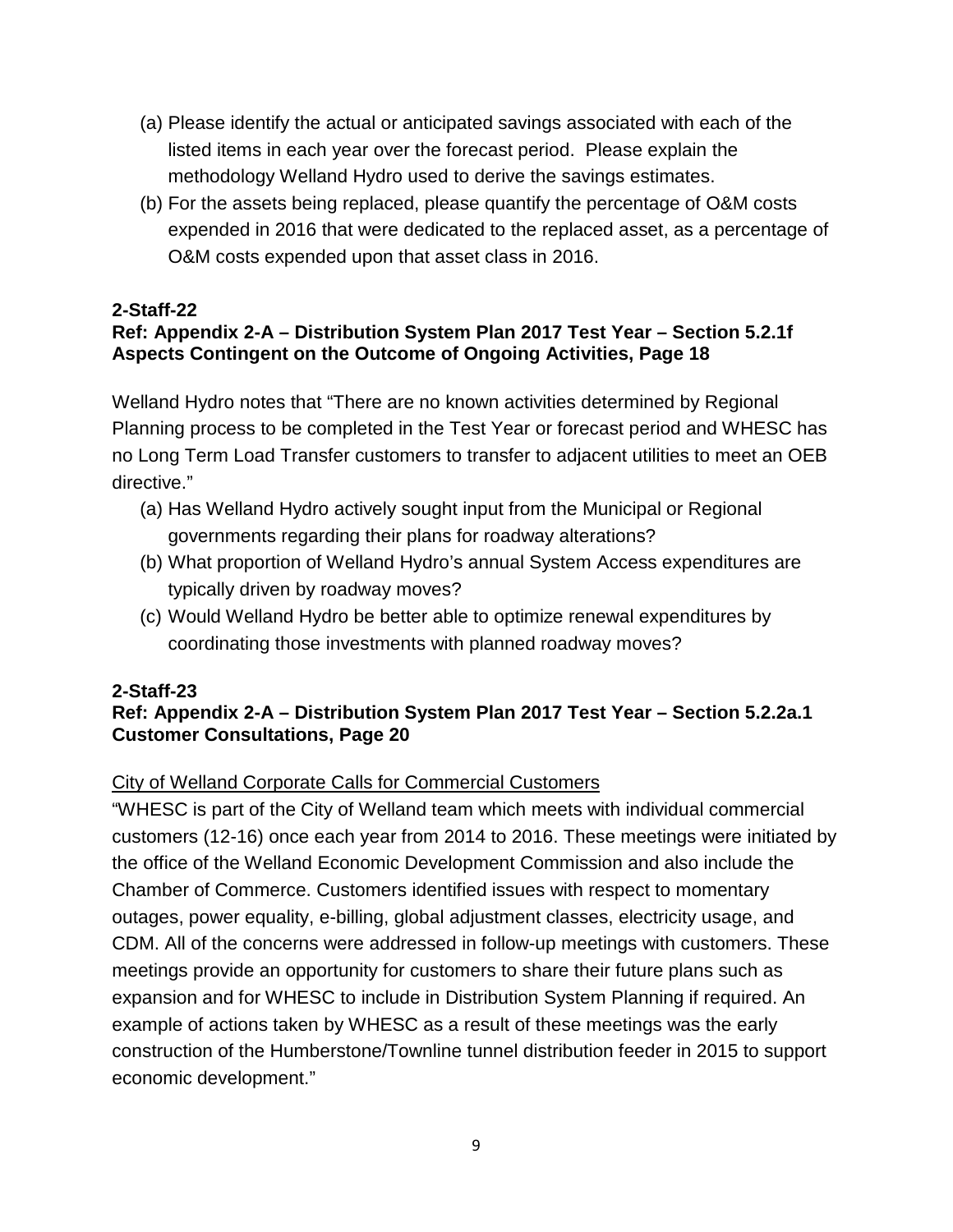- (a) Please identify the actual or anticipated savings associated with each of the listed items in each year over the forecast period. Please explain the methodology Welland Hydro used to derive the savings estimates.
- (b) For the assets being replaced, please quantify the percentage of O&M costs expended in 2016 that were dedicated to the replaced asset, as a percentage of O&M costs expended upon that asset class in 2016.

# **Ref: Appendix 2-A – Distribution System Plan 2017 Test Year – Section 5.2.1f Aspects Contingent on the Outcome of Ongoing Activities, Page 18**

Welland Hydro notes that "There are no known activities determined by Regional Planning process to be completed in the Test Year or forecast period and WHESC has no Long Term Load Transfer customers to transfer to adjacent utilities to meet an OEB directive."

- (a) Has Welland Hydro actively sought input from the Municipal or Regional governments regarding their plans for roadway alterations?
- (b) What proportion of Welland Hydro's annual System Access expenditures are typically driven by roadway moves?
- (c) Would Welland Hydro be better able to optimize renewal expenditures by coordinating those investments with planned roadway moves?

# **2-Staff-23**

# **Ref: Appendix 2-A – Distribution System Plan 2017 Test Year – Section 5.2.2a.1 Customer Consultations, Page 20**

# City of Welland Corporate Calls for Commercial Customers

"WHESC is part of the City of Welland team which meets with individual commercial customers (12-16) once each year from 2014 to 2016. These meetings were initiated by the office of the Welland Economic Development Commission and also include the Chamber of Commerce. Customers identified issues with respect to momentary outages, power equality, e-billing, global adjustment classes, electricity usage, and CDM. All of the concerns were addressed in follow-up meetings with customers. These meetings provide an opportunity for customers to share their future plans such as expansion and for WHESC to include in Distribution System Planning if required. An example of actions taken by WHESC as a result of these meetings was the early construction of the Humberstone/Townline tunnel distribution feeder in 2015 to support economic development."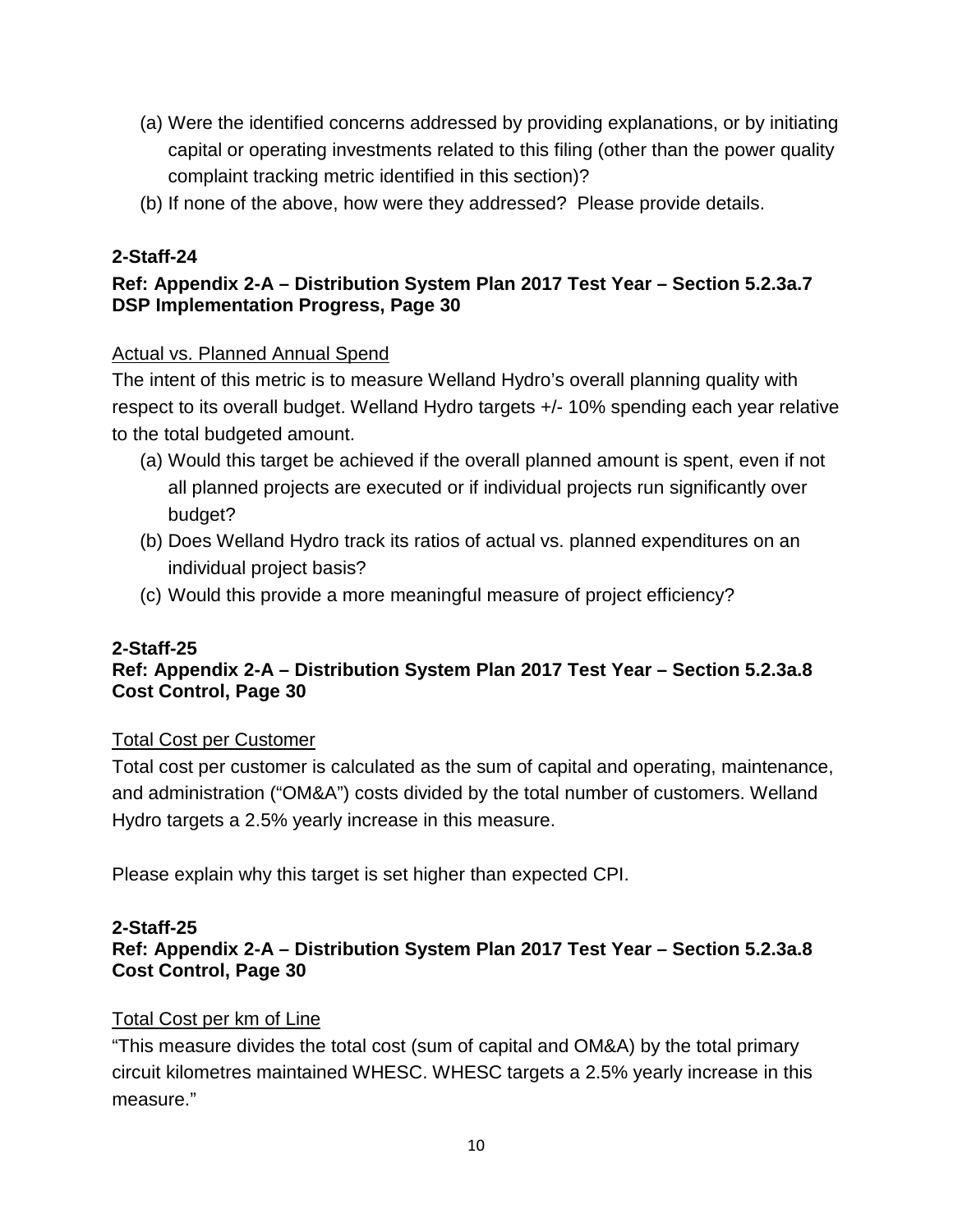- (a) Were the identified concerns addressed by providing explanations, or by initiating capital or operating investments related to this filing (other than the power quality complaint tracking metric identified in this section)?
- (b) If none of the above, how were they addressed? Please provide details.

# **Ref: Appendix 2-A – Distribution System Plan 2017 Test Year – Section 5.2.3a.7 DSP Implementation Progress, Page 30**

# Actual vs. Planned Annual Spend

The intent of this metric is to measure Welland Hydro's overall planning quality with respect to its overall budget. Welland Hydro targets +/- 10% spending each year relative to the total budgeted amount.

- (a) Would this target be achieved if the overall planned amount is spent, even if not all planned projects are executed or if individual projects run significantly over budget?
- (b) Does Welland Hydro track its ratios of actual vs. planned expenditures on an individual project basis?
- (c) Would this provide a more meaningful measure of project efficiency?

# **2-Staff-25**

# **Ref: Appendix 2-A – Distribution System Plan 2017 Test Year – Section 5.2.3a.8 Cost Control, Page 30**

# Total Cost per Customer

Total cost per customer is calculated as the sum of capital and operating, maintenance, and administration ("OM&A") costs divided by the total number of customers. Welland Hydro targets a 2.5% yearly increase in this measure.

Please explain why this target is set higher than expected CPI.

# **2-Staff-25**

# **Ref: Appendix 2-A – Distribution System Plan 2017 Test Year – Section 5.2.3a.8 Cost Control, Page 30**

# Total Cost per km of Line

"This measure divides the total cost (sum of capital and OM&A) by the total primary circuit kilometres maintained WHESC. WHESC targets a 2.5% yearly increase in this measure."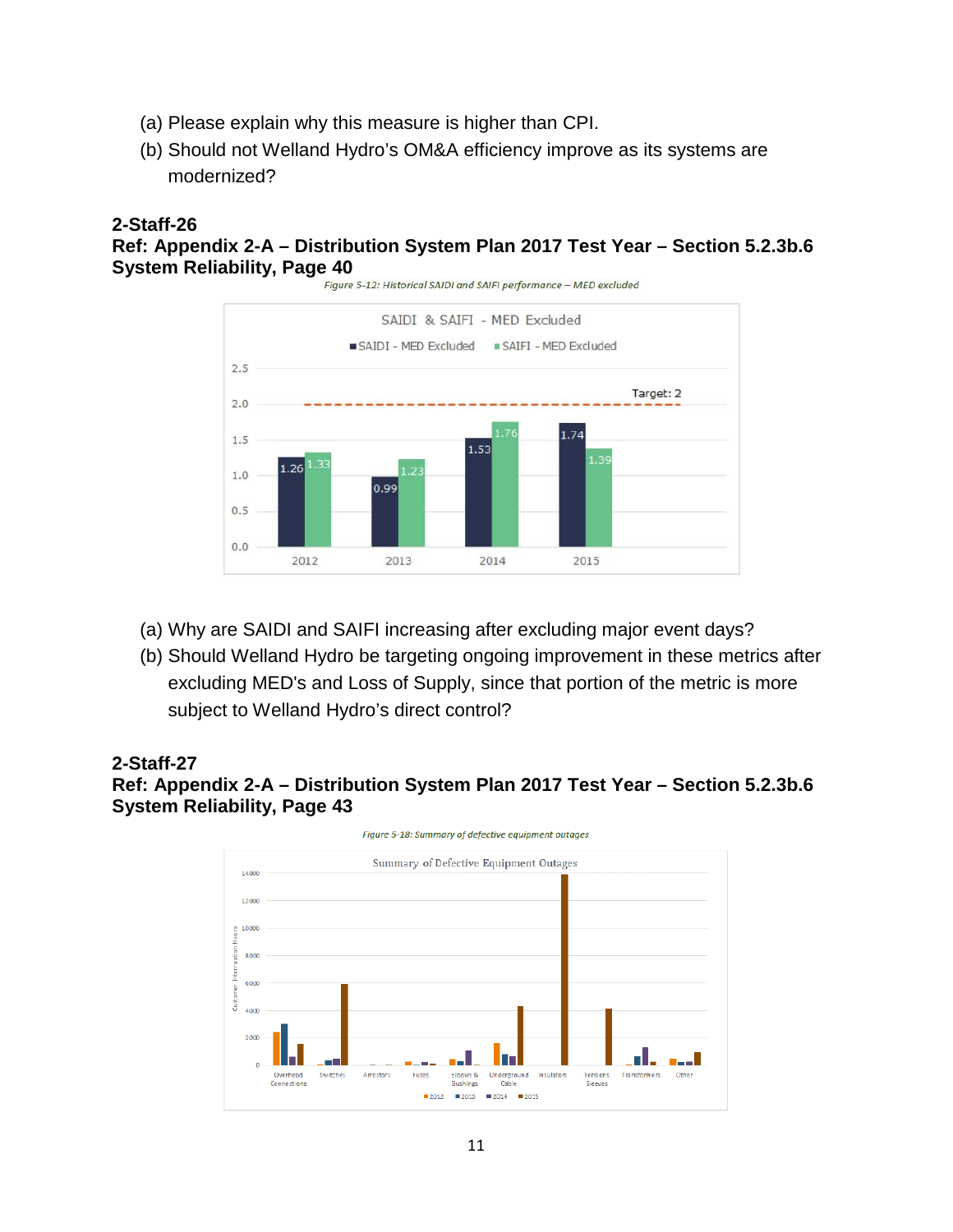- (a) Please explain why this measure is higher than CPI.
- (b) Should not Welland Hydro's OM&A efficiency improve as its systems are modernized?

# **Ref: Appendix 2-A – Distribution System Plan 2017 Test Year – Section 5.2.3b.6 System Reliability, Page 40**<br>Figure 5-12: Historical SAIDI and SAIFI performance - MED excluded



- (a) Why are SAIDI and SAIFI increasing after excluding major event days?
- (b) Should Welland Hydro be targeting ongoing improvement in these metrics after excluding MED's and Loss of Supply, since that portion of the metric is more subject to Welland Hydro's direct control?

#### **2-Staff-27**

### **Ref: Appendix 2-A – Distribution System Plan 2017 Test Year – Section 5.2.3b.6 System Reliability, Page 43**

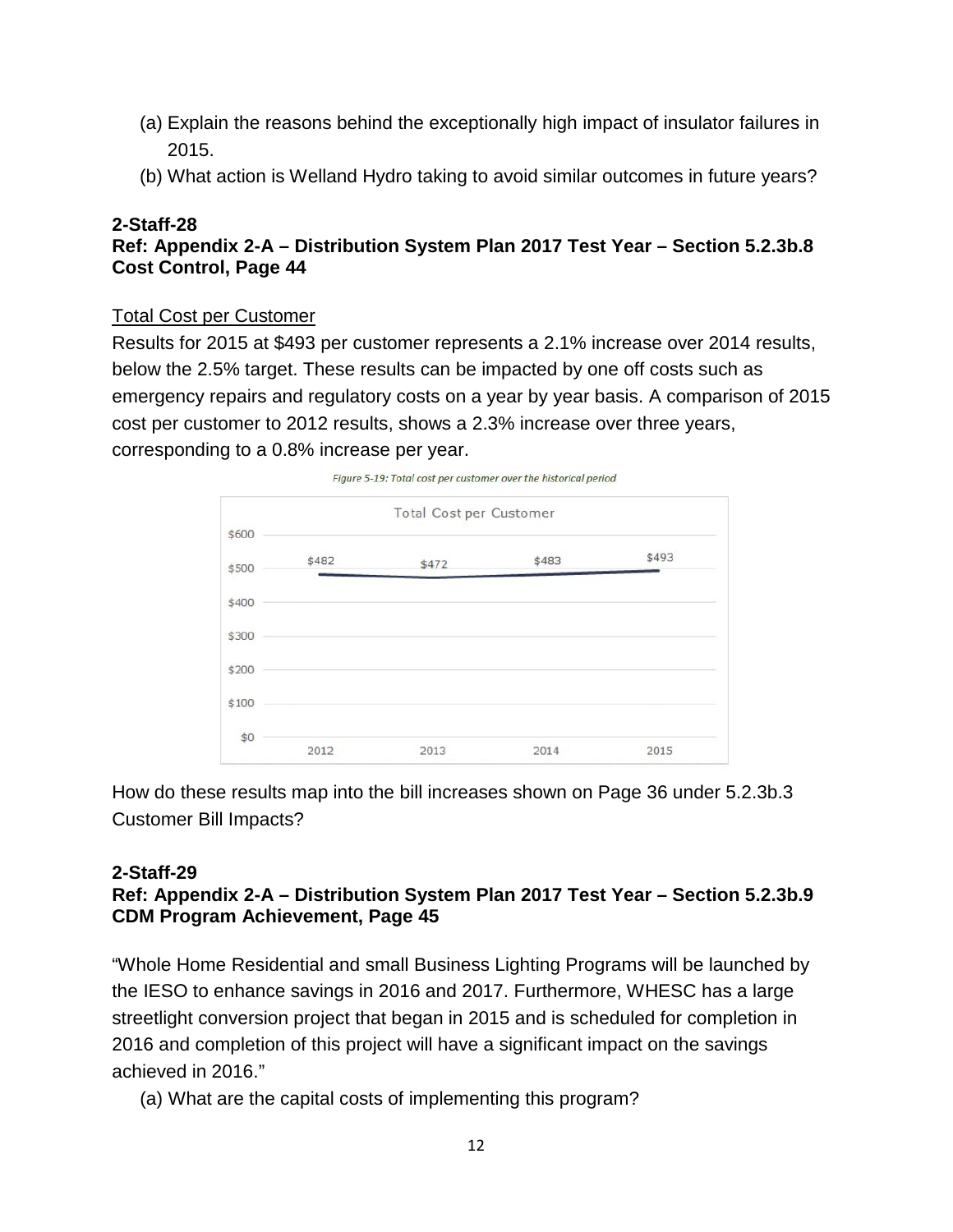- (a) Explain the reasons behind the exceptionally high impact of insulator failures in 2015.
- (b) What action is Welland Hydro taking to avoid similar outcomes in future years?

#### **2-Staff-28 Ref: Appendix 2-A – Distribution System Plan 2017 Test Year – Section 5.2.3b.8 Cost Control, Page 44**

### Total Cost per Customer

Results for 2015 at \$493 per customer represents a 2.1% increase over 2014 results, below the 2.5% target. These results can be impacted by one off costs such as emergency repairs and regulatory costs on a year by year basis. A comparison of 2015 cost per customer to 2012 results, shows a 2.3% increase over three years, corresponding to a 0.8% increase per year.



How do these results map into the bill increases shown on Page 36 under 5.2.3b.3 Customer Bill Impacts?

# **2-Staff-29**

# **Ref: Appendix 2-A – Distribution System Plan 2017 Test Year – Section 5.2.3b.9 CDM Program Achievement, Page 45**

"Whole Home Residential and small Business Lighting Programs will be launched by the IESO to enhance savings in 2016 and 2017. Furthermore, WHESC has a large streetlight conversion project that began in 2015 and is scheduled for completion in 2016 and completion of this project will have a significant impact on the savings achieved in 2016."

(a) What are the capital costs of implementing this program?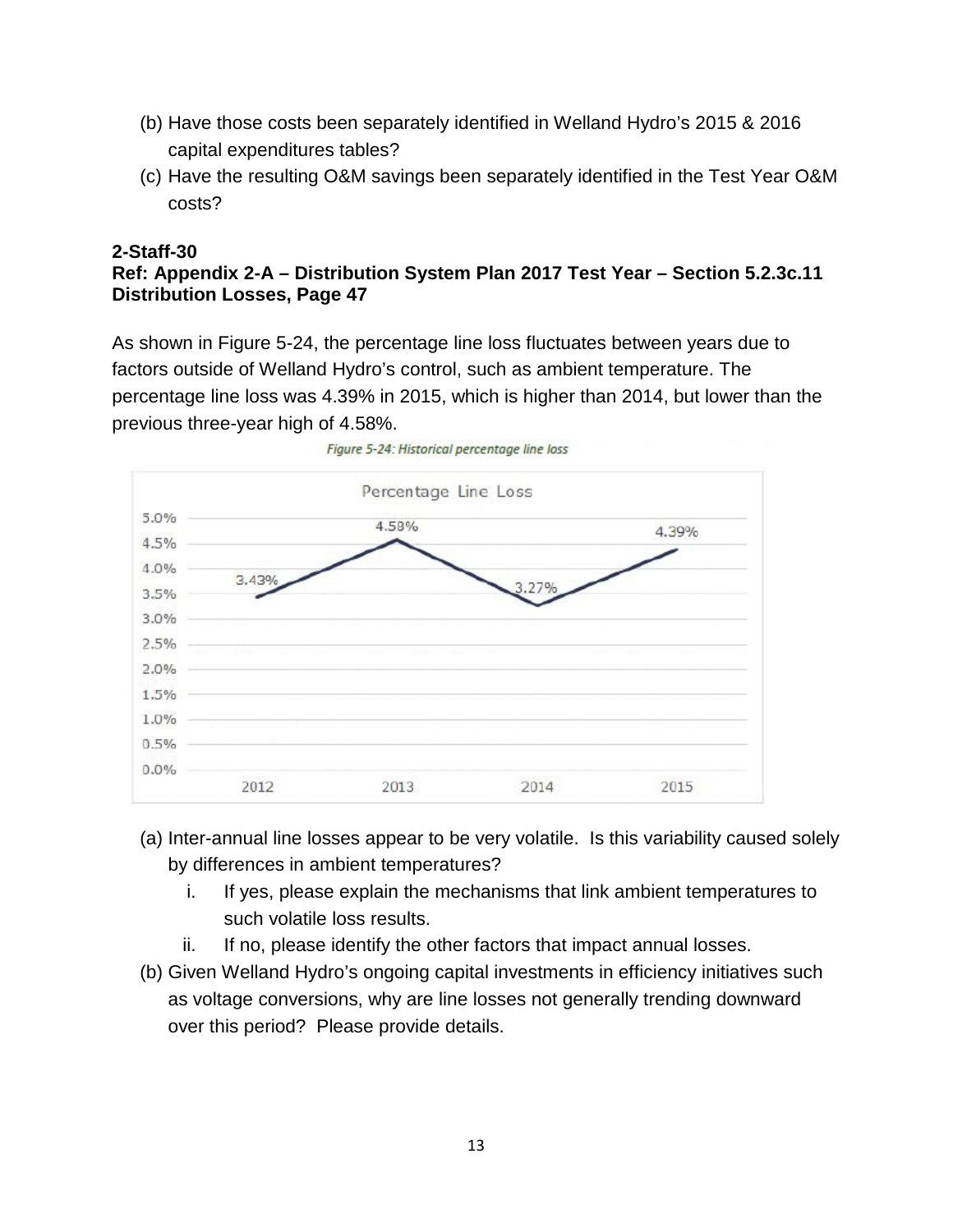- (b) Have those costs been separately identified in Welland Hydro's 2015 & 2016 capital expenditures tables?
- (c) Have the resulting O&M savings been separately identified in the Test Year O&M costs?

#### **2-Staff-30 Ref: Appendix 2-A – Distribution System Plan 2017 Test Year – Section 5.2.3c.11 Distribution Losses, Page 47**

As shown in Figure 5-24, the percentage line loss fluctuates between years due to factors outside of Welland Hydro's control, such as ambient temperature. The percentage line loss was 4.39% in 2015, which is higher than 2014, but lower than the previous three-year high of 4.58%.





- (a) Inter-annual line losses appear to be very volatile. Is this variability caused solely by differences in ambient temperatures?
	- i. If yes, please explain the mechanisms that link ambient temperatures to such volatile loss results.
	- ii. If no, please identify the other factors that impact annual losses.
- (b) Given Welland Hydro's ongoing capital investments in efficiency initiatives such as voltage conversions, why are line losses not generally trending downward over this period? Please provide details.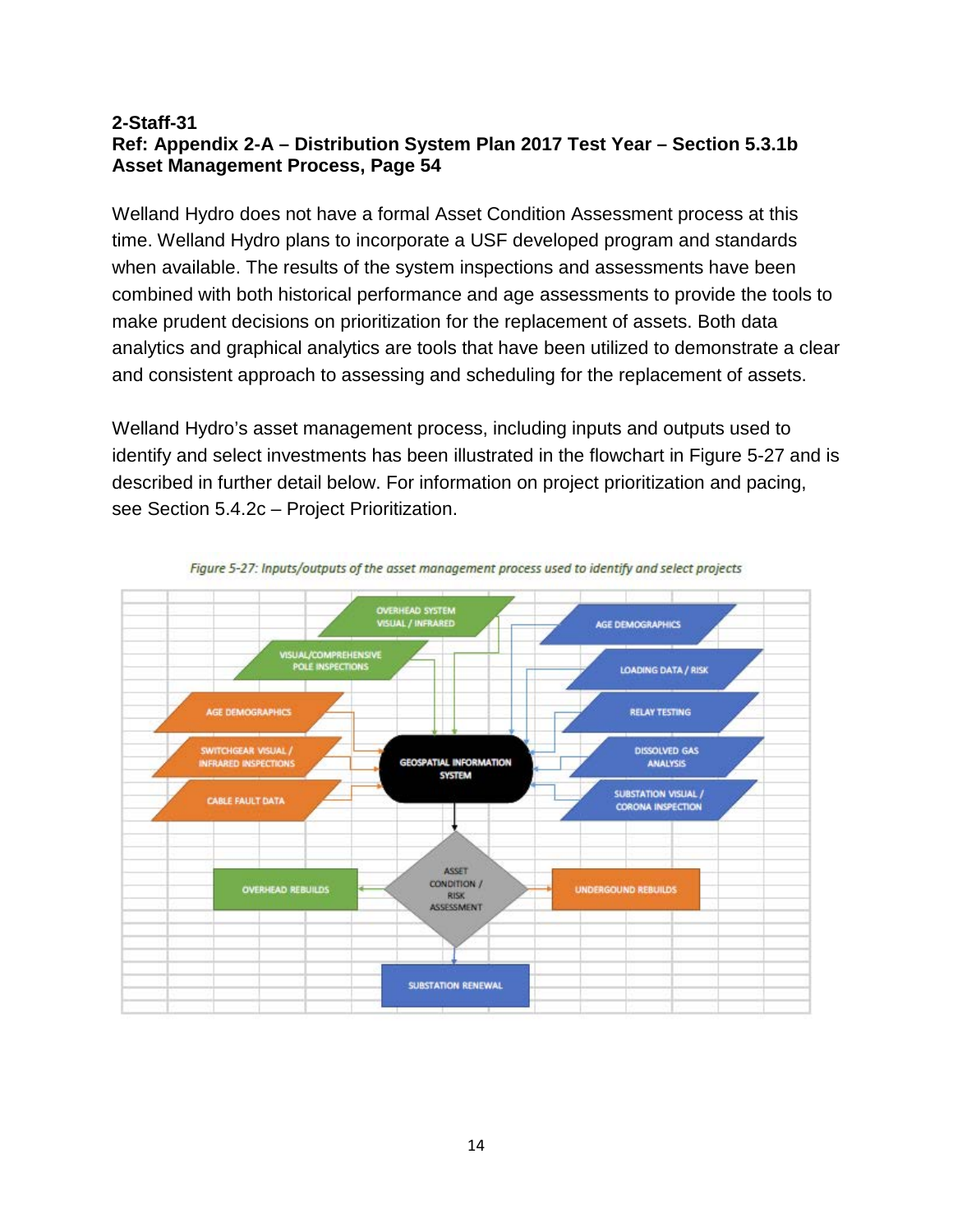#### **2-Staff-31 Ref: Appendix 2-A – Distribution System Plan 2017 Test Year – Section 5.3.1b Asset Management Process, Page 54**

Welland Hydro does not have a formal Asset Condition Assessment process at this time. Welland Hydro plans to incorporate a USF developed program and standards when available. The results of the system inspections and assessments have been combined with both historical performance and age assessments to provide the tools to make prudent decisions on prioritization for the replacement of assets. Both data analytics and graphical analytics are tools that have been utilized to demonstrate a clear and consistent approach to assessing and scheduling for the replacement of assets.

Welland Hydro's asset management process, including inputs and outputs used to identify and select investments has been illustrated in the flowchart in Figure 5-27 and is described in further detail below. For information on project prioritization and pacing, see Section 5.4.2c – Project Prioritization.



Figure 5-27: Inputs/outputs of the asset management process used to identify and select projects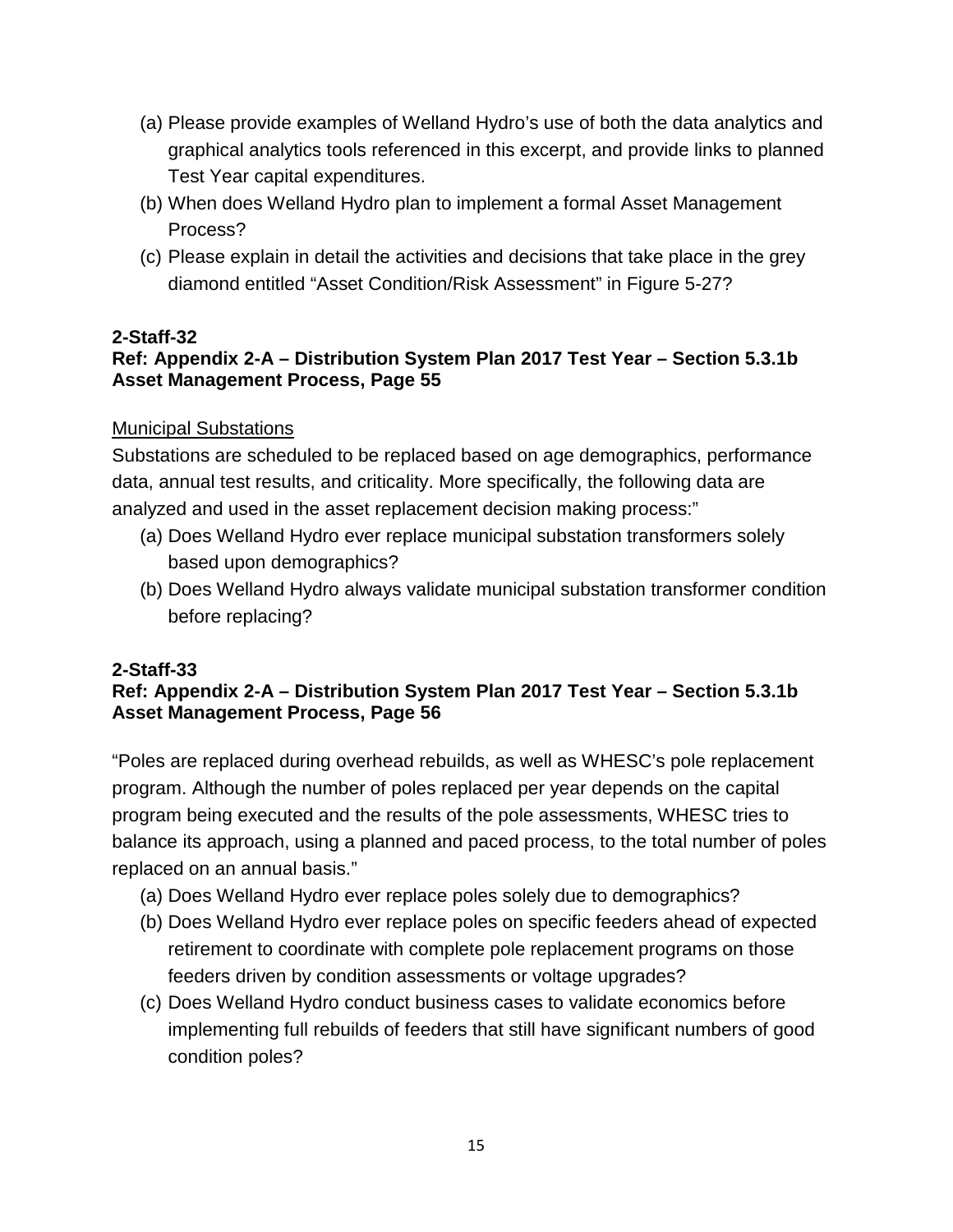- (a) Please provide examples of Welland Hydro's use of both the data analytics and graphical analytics tools referenced in this excerpt, and provide links to planned Test Year capital expenditures.
- (b) When does Welland Hydro plan to implement a formal Asset Management Process?
- (c) Please explain in detail the activities and decisions that take place in the grey diamond entitled "Asset Condition/Risk Assessment" in Figure 5-27?

# **Ref: Appendix 2-A – Distribution System Plan 2017 Test Year – Section 5.3.1b Asset Management Process, Page 55**

# Municipal Substations

Substations are scheduled to be replaced based on age demographics, performance data, annual test results, and criticality. More specifically, the following data are analyzed and used in the asset replacement decision making process:"

- (a) Does Welland Hydro ever replace municipal substation transformers solely based upon demographics?
- (b) Does Welland Hydro always validate municipal substation transformer condition before replacing?

# **2-Staff-33**

# **Ref: Appendix 2-A – Distribution System Plan 2017 Test Year – Section 5.3.1b Asset Management Process, Page 56**

"Poles are replaced during overhead rebuilds, as well as WHESC's pole replacement program. Although the number of poles replaced per year depends on the capital program being executed and the results of the pole assessments, WHESC tries to balance its approach, using a planned and paced process, to the total number of poles replaced on an annual basis."

- (a) Does Welland Hydro ever replace poles solely due to demographics?
- (b) Does Welland Hydro ever replace poles on specific feeders ahead of expected retirement to coordinate with complete pole replacement programs on those feeders driven by condition assessments or voltage upgrades?
- (c) Does Welland Hydro conduct business cases to validate economics before implementing full rebuilds of feeders that still have significant numbers of good condition poles?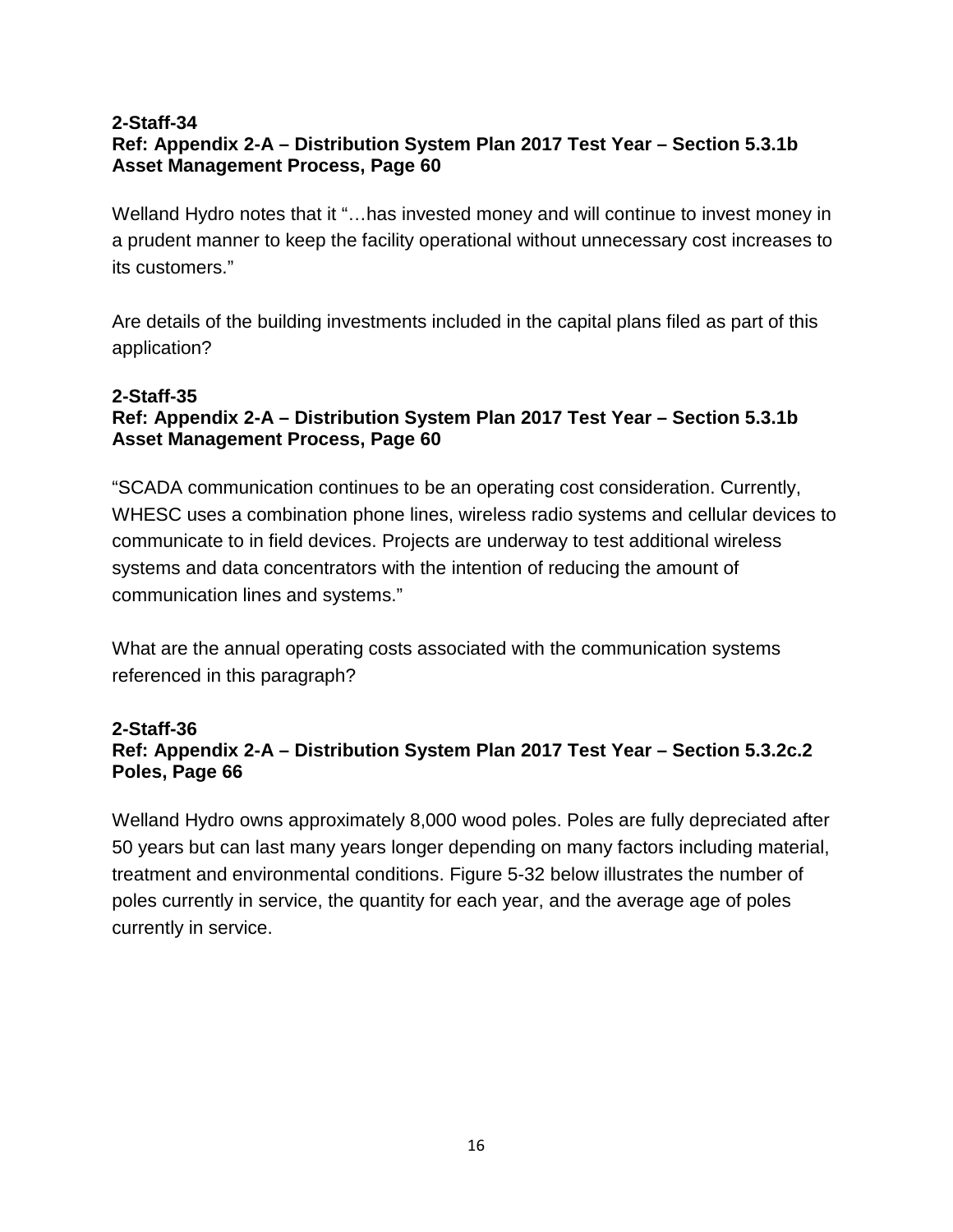# **Ref: Appendix 2-A – Distribution System Plan 2017 Test Year – Section 5.3.1b Asset Management Process, Page 60**

Welland Hydro notes that it "…has invested money and will continue to invest money in a prudent manner to keep the facility operational without unnecessary cost increases to its customers."

Are details of the building investments included in the capital plans filed as part of this application?

#### **2-Staff-35**

# **Ref: Appendix 2-A – Distribution System Plan 2017 Test Year – Section 5.3.1b Asset Management Process, Page 60**

"SCADA communication continues to be an operating cost consideration. Currently, WHESC uses a combination phone lines, wireless radio systems and cellular devices to communicate to in field devices. Projects are underway to test additional wireless systems and data concentrators with the intention of reducing the amount of communication lines and systems."

What are the annual operating costs associated with the communication systems referenced in this paragraph?

#### **2-Staff-36 Ref: Appendix 2-A – Distribution System Plan 2017 Test Year – Section 5.3.2c.2 Poles, Page 66**

Welland Hydro owns approximately 8,000 wood poles. Poles are fully depreciated after 50 years but can last many years longer depending on many factors including material, treatment and environmental conditions. Figure 5-32 below illustrates the number of poles currently in service, the quantity for each year, and the average age of poles currently in service.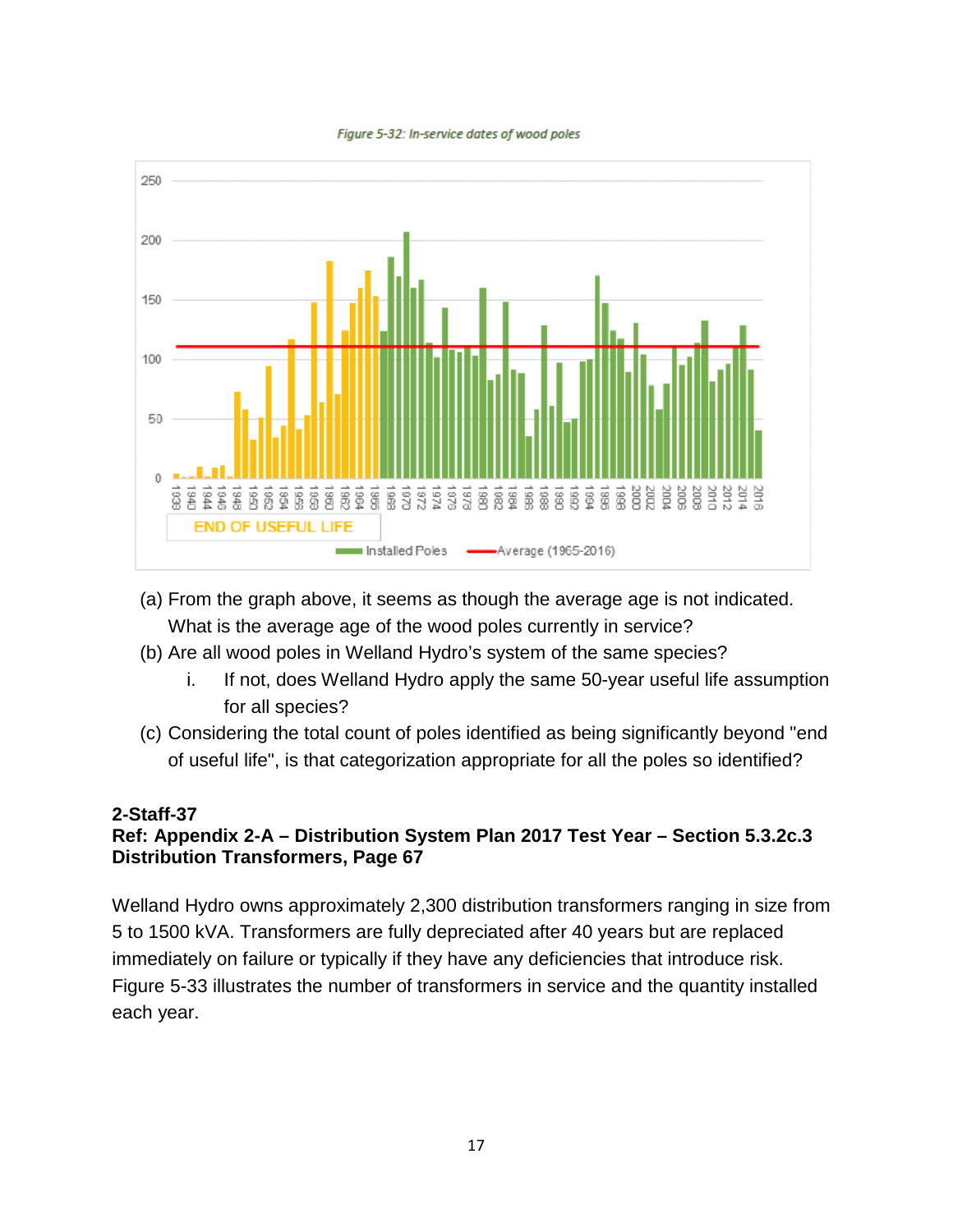



- (a) From the graph above, it seems as though the average age is not indicated. What is the average age of the wood poles currently in service?
- (b) Are all wood poles in Welland Hydro's system of the same species?
	- i. If not, does Welland Hydro apply the same 50-year useful life assumption for all species?
- (c) Considering the total count of poles identified as being significantly beyond "end of useful life", is that categorization appropriate for all the poles so identified?

#### **2-Staff-37 Ref: Appendix 2-A – Distribution System Plan 2017 Test Year – Section 5.3.2c.3 Distribution Transformers, Page 67**

Welland Hydro owns approximately 2,300 distribution transformers ranging in size from 5 to 1500 kVA. Transformers are fully depreciated after 40 years but are replaced immediately on failure or typically if they have any deficiencies that introduce risk. Figure 5-33 illustrates the number of transformers in service and the quantity installed each year.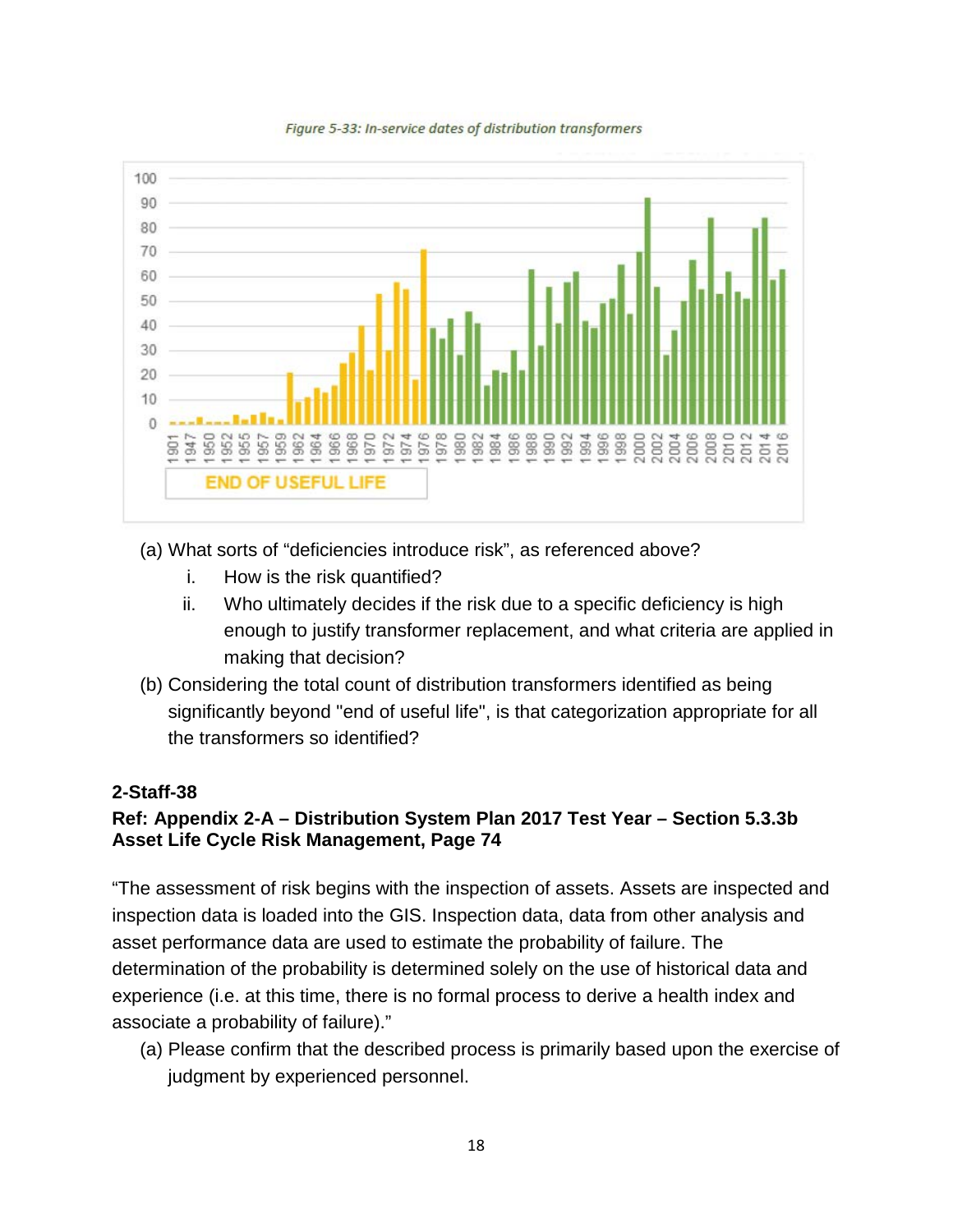

Figure 5-33: In-service dates of distribution transformers

(a) What sorts of "deficiencies introduce risk", as referenced above?

- i. How is the risk quantified?
- ii. Who ultimately decides if the risk due to a specific deficiency is high enough to justify transformer replacement, and what criteria are applied in making that decision?
- (b) Considering the total count of distribution transformers identified as being significantly beyond "end of useful life", is that categorization appropriate for all the transformers so identified?

#### **2-Staff-38**

# **Ref: Appendix 2-A – Distribution System Plan 2017 Test Year – Section 5.3.3b Asset Life Cycle Risk Management, Page 74**

"The assessment of risk begins with the inspection of assets. Assets are inspected and inspection data is loaded into the GIS. Inspection data, data from other analysis and asset performance data are used to estimate the probability of failure. The determination of the probability is determined solely on the use of historical data and experience (i.e. at this time, there is no formal process to derive a health index and associate a probability of failure)."

(a) Please confirm that the described process is primarily based upon the exercise of judgment by experienced personnel.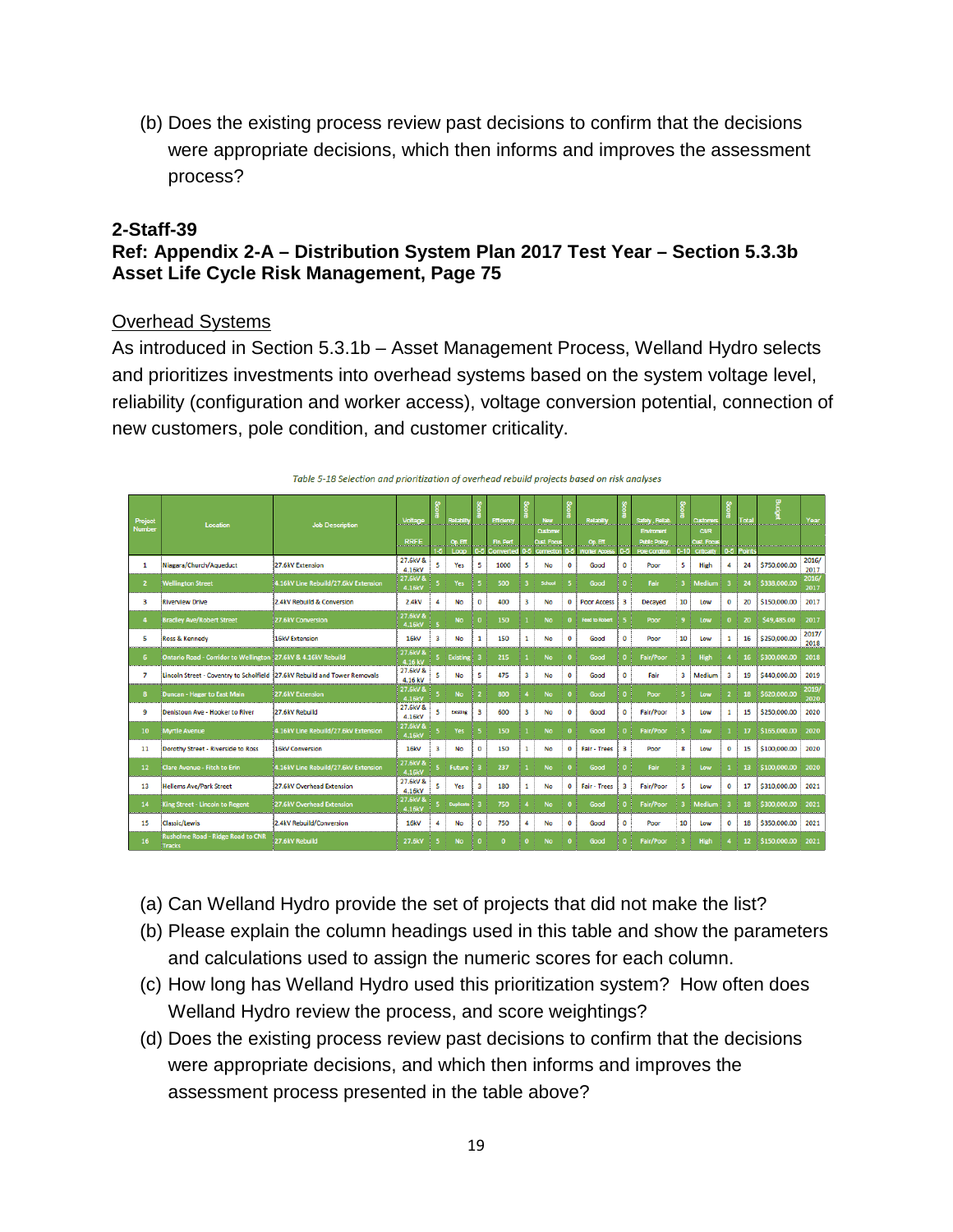(b) Does the existing process review past decisions to confirm that the decisions were appropriate decisions, which then informs and improves the assessment process?

#### **2-Staff-39**

# **Ref: Appendix 2-A – Distribution System Plan 2017 Test Year – Section 5.3.3b Asset Life Cycle Risk Management, Page 75**

#### Overhead Systems

As introduced in Section 5.3.1b – Asset Management Process, Welland Hydro selects and prioritizes investments into overhead systems based on the system voltage level, reliability (configuration and worker access), voltage conversion potential, connection of new customers, pole condition, and customer criticality.

| Project<br><b>Number</b> | Location                                                                   | <b>Job Description</b>               | Voltage<br><b>RRFE</b>       |   | Relabiliy<br><u>Op. ETT.</u> |          | Efficiency<br>Fin, Perf. |   | New<br><b>Custome</b><br>Cust. Focu |              | Relability<br>Op. Eff.      |                         | Safety, Reliab.<br>Environent<br>Public Policy |    | Customers<br><b>C/IR</b><br><b>Cust. Focus</b> | <b>CONTRACTOR</b>       | Total<br>للمست  | <b>Budg</b>  | Year                  |
|--------------------------|----------------------------------------------------------------------------|--------------------------------------|------------------------------|---|------------------------------|----------|--------------------------|---|-------------------------------------|--------------|-----------------------------|-------------------------|------------------------------------------------|----|------------------------------------------------|-------------------------|-----------------|--------------|-----------------------|
| 1                        | Niagara/Church/Aqueduct                                                    | 27.6kV Extension                     | 27.6kV &                     | 5 | Loop<br>Yes                  | 5        | Converted<br>1000        | 5 | Connectio<br><b>No</b>              | $\bf{0}$     | <b>Vorker Acces</b><br>Good | 0                       | <b>Pole Condition</b><br>Poor                  | 5  | Criticalin<br><b>High</b>                      | 0.5 <sub>1</sub><br>4   | Point<br>24     | \$750,000,00 | 2016/                 |
| $\overline{2}$           | <b>Wellington Street</b>                                                   | 4.16kV Line Rebuild/27.6kV Extension | 4.16kV<br>27.6kV &<br>4.16kV |   | Yes                          |          | 500                      |   | School                              |              | Good                        |                         | Fair                                           |    | <b>Medium</b>                                  | ೀ                       | 24              | \$338,000,00 | 2017<br>2016/<br>2017 |
| 3                        | <b>Riverview Drive</b>                                                     | 2.4kV Rebuild & Conversion           | 2.4kV                        | 4 | No                           | $\bf{0}$ | 400                      | 3 | <b>No</b>                           | $\bf{0}$     | <b>Poor Access</b>          | $\overline{\mathbf{3}}$ | <b>Decaved</b>                                 | 10 | Low                                            | $\bf{0}$                | 20              | \$150,000.00 | 2017                  |
|                          | <b>Bradley Ave/Robert Street</b>                                           | 27.6kV Conversion                    | 27.6kV &<br>4.16kV           |   | <b>No</b>                    |          | 150                      |   | <b>No</b>                           | n            | <b>Feed to Robert</b>       |                         | Poor                                           |    | Low                                            | $\Omega$                | 20              | \$49,485.00  | 2017                  |
| 5                        | Ross & Kennedy                                                             | <b>16kV Extension</b>                | <b>16kV</b>                  | 3 | <b>No</b>                    | 1        | 150                      | 1 | <b>No</b>                           | $\bf{0}$     | Good                        | 0                       | Poor                                           | 10 | Low                                            | 1                       | 16              | \$250,000.00 | 2017/<br>2018         |
| 6.                       | Ontario Road - Corridor to Wellington 27.6kV & 4.16kV Rebuild              |                                      | 27.6kV &<br>4.16 kV          |   | <b>Existing</b>              |          | 215                      |   | <b>No</b>                           | $\Omega$     | Good                        | 0                       | <b>Fair/Poor</b>                               |    | High                                           |                         | 16              | \$300,000,00 | 2018                  |
| 7                        | Lincoln Street - Coventry to Scholfield 327.6kV Rebuild and Tower Removals |                                      | 27.6kV &<br>4.16 kV          | 5 | <b>No</b>                    | 5        | 475                      | з | <b>No</b>                           | $\bf{0}$     | Good                        | $\mathbf 0$             | Fair                                           | 3  | Medium                                         | $\overline{\mathbf{3}}$ | 19              | \$440,000.00 | 2019                  |
| 8                        | Duncan - Hagar to East Main                                                | 27.6kV Extension                     | 27.6kV &<br>4.16kV           |   | <b>No</b>                    |          | 800                      |   | <b>No</b>                           | $\Omega$     | Good                        |                         | Poor                                           |    | Low                                            |                         | 18              | \$620,000,00 | 2019/<br>2020         |
| 9                        | Denistoun Ave - Hooker to River                                            | 27.6kV Rebuild                       | 27.6kV &<br>4.16kV           | 5 | Existing                     | 3        | 600                      | 3 | <b>No</b>                           | $\bf{0}$     | Good                        | $\Omega$                | Fair/Poor                                      | 3  | Low                                            | $\mathbf{1}$            | 15              | \$250,000.00 | 2020                  |
| 10 <sub>1</sub>          | <b>Myrtle Avenue</b>                                                       | 4.16kV Line Rebuild/27.6kV Extension | 27.6kV &<br>4.16kV           |   | Yes                          |          | 150                      |   | <b>No</b>                           | n            | Good                        |                         | <b>Fair/Poor</b>                               |    | Low                                            |                         | 17              | \$165,000.00 | 2020                  |
| 11                       | Dorothy Street - Riverside to Ross                                         | <b>16kV Conversion</b>               | <b>16kV</b>                  | 3 | No                           | $\Omega$ | 150                      | 1 | No                                  | $\Omega$     | <b>Fair - Trees</b>         | $\overline{\mathbf{3}}$ | Poor                                           | 8  | Low                                            | $\bf{0}$                | 15              | \$100,000.00 | 2020                  |
| 12 <sup>2</sup>          | <b>Clare Avenue - Fitch to Erin</b>                                        | 4.16kV Line Rebuild/27.6kV Extension | 27.6kV &<br>4.16kV           |   | <b>Future</b>                |          | 237                      |   | <b>No</b>                           | $\mathbf{a}$ | Good                        |                         | Fair                                           |    | Low                                            |                         | 13              | \$100,000.00 | 2020                  |
| 13                       | <b>Hellems Ave/Park Street</b>                                             | 27.6kV Overhead Extension            | 27.6kV &<br>4.16kV           | 5 | Yes                          | 3        | 180                      | 1 | <b>No</b>                           | $\mathbf 0$  | <b>Fair - Trees</b>         | 3                       | Fair/Poor                                      | 5  | Low                                            | $\mathbf 0$             | 17              | \$310,000,00 | 2021                  |
| 14                       | King Street - Lincoln to Regent                                            | 27.6kV Overhead Extension            | 27.6kV &<br>4.16kV           |   | <b>Duplicate</b>             |          | 750                      |   | <b>No</b>                           | $\Omega$     | Good                        |                         | <b>Fair/Poor</b>                               |    | Medium                                         |                         | 18              | \$300,000,00 | 2021                  |
| 15                       | <b>Classic/Lewis</b>                                                       | 2.4kV Rebuild/Conversion             | 16kV                         | 4 | <b>No</b>                    | 0        | 750                      | 4 | <b>No</b>                           | $\mathbf 0$  | Good                        | 0                       | Poor                                           | 10 | Low                                            | $\mathbf 0$             | 18              | \$350,000,00 | 2021                  |
| 16                       | <b>Rusholme Road - Ridge Road to CNR</b><br><b>Tracks</b>                  | 27.6kV Rebuild                       | 27.6kV                       |   | <b>No</b>                    |          | $\mathbf{0}$             |   | <b>No</b>                           |              | Good                        |                         | <b>Fair/Poor</b>                               |    | High                                           |                         | 12 <sup>2</sup> | \$150,000,00 | 2021                  |

Table 5-18 Selection and prioritization of overhead rebuild projects based on risk analyses

- (a) Can Welland Hydro provide the set of projects that did not make the list?
- (b) Please explain the column headings used in this table and show the parameters and calculations used to assign the numeric scores for each column.
- (c) How long has Welland Hydro used this prioritization system? How often does Welland Hydro review the process, and score weightings?
- (d) Does the existing process review past decisions to confirm that the decisions were appropriate decisions, and which then informs and improves the assessment process presented in the table above?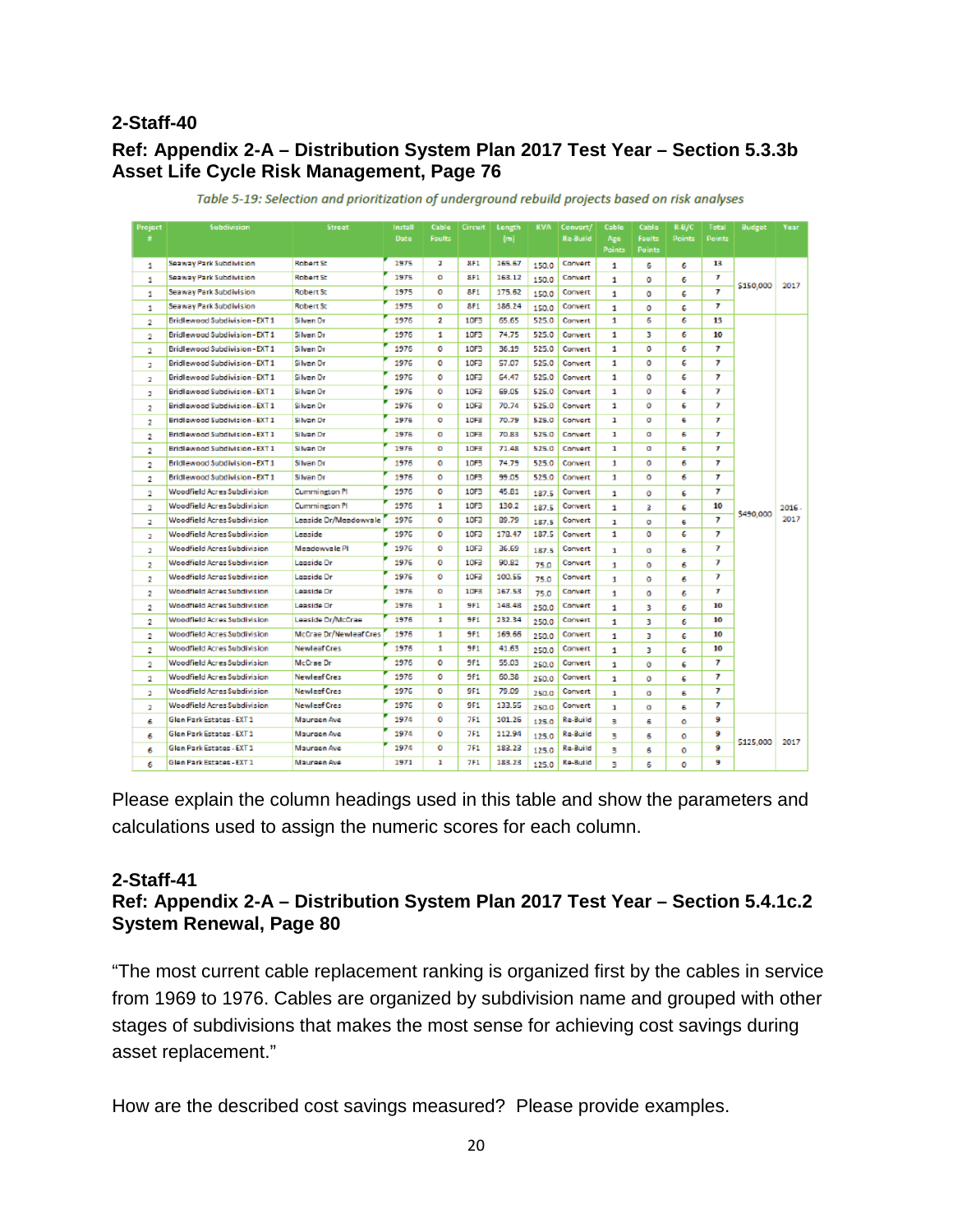# **Ref: Appendix 2-A – Distribution System Plan 2017 Test Year – Section 5.3.3b Asset Life Cycle Risk Management, Page 76**

| Project        | Subdivision                           | Street                   | Install | Cable<br>Foults | <b>Circuit</b>   | Length | <b>KVA</b> | Convert/ | Cable                | Cable<br>Faults | R-B/C  | Total<br><b>Points</b> | Budget    | Year  |
|----------------|---------------------------------------|--------------------------|---------|-----------------|------------------|--------|------------|----------|----------------------|-----------------|--------|------------------------|-----------|-------|
|                |                                       |                          | Date    |                 |                  | [m]    |            | Re-Build | Age<br><b>Points</b> | <b>Points</b>   | Points |                        |           |       |
| 1              | Seaway Park Subdivision               | Robert St                | 1975    | z.              | 8F1              | 165.67 | 150.0      | Corvert  | 1                    | 6               | 6      | 13                     |           |       |
| 1              | Seaway Park Subdivision               | Robert St                | 1975    | ō               | 8F1              | 163.12 | 150.0      | Corvert  | 1                    | o               | 6      | $\mathcal T$           |           |       |
| 1              | Seaway Park Subdivision               | Robert St                | 1975    | o               | 8F1              | 175.62 | 150.0      | Convert  | 1                    | o               | 6      | 7                      | \$150,000 | 2017  |
| 1              | Seaway Park Subdivision               | Robert St                | 1975    | 0               | <b>8F1</b>       | 186.24 | 150.0      | Convert  | 1                    | ٥               | с      | 7                      |           |       |
| $\overline{2}$ | Bridlewood Subdivision-EXT1           | Silven Dr                | 1976    | 2               | 10F3             | 65.65  | 525.0      | Convert  | 1                    | 6               | 6      | 13                     |           |       |
| o.             | Bridlewood Subdivision - EXT 1        | Silven Dr.               | 1976    | 1.              | 10F3             | 74.75  | 525.0      | Convert  | 1                    | в               | 6      | 10                     |           |       |
| 2              | Bridlewood Subdivision-EXT1           | Silven Dr.               | 1976    | o               | 10F3             | 36.19  | 525.0      | Convert  | 1                    | o               | 6      | 7                      |           |       |
| z.             | Bridlewood Subdivision - EXT 1        | Silvan Dr.               | 1976    | ٥               | 10F3             | 57.07  | 525.0      | Convert  | 1                    | o               | с      | 7                      |           |       |
| z              | <b>Bridlewood Subdivision-EXT1</b>    | Silvan Dr.               | 1976    | ٥               | 10F <sub>3</sub> | 64.47  | 525.0      | Convert  | 1                    | ٥               | с      | 7                      |           |       |
| 2              | <b>Bridlewood Subdivision - EXT 1</b> | Silvan Dr                | 1976    | o               | 10F3             | 69.05  | 525.0      | Corvert  | 1                    | $^{\circ}$      | с      | 7                      |           |       |
| 2              | Bridlewood Subdivision - EXT 1        | Silvan Dr                | 1976    | o               | 10F3             | 70.74  | 525.0      | Convert  | 1                    | o               | 6      | 7                      |           |       |
| 2              | Bridlewood Subdivision - EXT 1        | Silvan Dr                | 1976    | o               | 10F3             | 70.79  | 525.0      | Corvert  | ı                    | ۰               | е      | $\tau$                 |           |       |
| 2              | Bridlewood Subdivision - EXT 1        | Silvan Dr                | 1976    | o               | 10F3             | 70.83  | 525.0      | Corvert  | ı                    | o               | Б      | $\mathcal T$           |           |       |
| 2              | Bridlewood Subdivision - EXT 1        | Silvan Dr                | 1976    | o               | 10F3             | 71.48  | 525.0      | Convert  | ı                    | $\sigma$        | Б      | 7                      |           |       |
| 2              | Bridlewood Subdivision-EXT1           | Silvan Dr                | 1976    | 0               | 10F3             | 74.79  | 525.0      | Convert  | 1                    | o               | 6      | 7                      |           |       |
| 2              | Bridlewood Subdivision - EXT 1        | Silvan Dr                | 1976    | 0               | 10F3             | 99.05  | 525.0      | Convert  | 1                    | o               | 6      | 7                      |           |       |
| 2              | Woodfield Acres Subdivision           | Cummington PI            | 1976    | ٥               | 10F3             | 45.81  | 187.5      | Convert  | 1                    | $\alpha$        | с      | 7                      |           |       |
| 2              | Woodfield Acres Subdivision           | Cummington <sub>PI</sub> | 1976    | 1               | 10F3             | 130.2  | 187.5      | Convert  | 1                    | 3               | 6      | 10                     |           | 2016. |
| z              | <b>Woodfield Acres Subdivision</b>    | Leaside Dr/Meadowyale    | 1976    | ٥               | 10F <sub>3</sub> | 99.79  | 187.5      | Convert  | ı                    | o               | Б      | 7                      | \$490,000 | 2017  |
| z              | <b>Woodfield Acres Subdivision</b>    | Leaside                  | 1976    | ٥               | 10F <sub>3</sub> | 178.47 | 187.5      | Convert  | 1                    | ٥               | 6      | 7                      |           |       |
| z              | <b>Woodfield Acres Subdivision</b>    | Meadowyale Pl            | 1976    | o               | 10F <sub>3</sub> | 36.69  | 187.5      | Convert  | ı                    | $\sigma$        | Б      | 7                      |           |       |
| 2              | <b>Woodfield Acres Subdivision</b>    | Leaside Dr               | 1976    | Ō               | 10F <sub>3</sub> | 90.82  | 75.0       | Corwert  | 1                    | o               | 6      | 7                      |           |       |
| 2              | <b>Woodfield Acres Subdivision</b>    | Leaside Dr               | 1976    | ō               | 10F3             | 100.55 | 75.0       | Corwert  | 1                    | o               | 6      | 7                      |           |       |
| 2              | <b>Woodfield Acres Subdivision</b>    | Leaside Dr               | 1976    | o               | 10F3             | 167.53 | 75.0       | Corvert  | 1                    | $\Omega$        | 6      | $\boldsymbol{\tau}$    |           |       |
| 2              | <b>Woodfield Acres Subdivision</b>    | Leaside Dr               | 1976    | ı               | 9F1              | 148.48 | 250.0      | Corvert  | 1                    | з               | 6      | 10                     |           |       |
| 2              | <b>Woodfield Acres Subdivision</b>    | Leaside Dr/McCrae        | 1976    | 1               | 9F1              | 232.34 | 250.0      | Convert  | 1                    | з               | 6      | 10                     |           |       |
| 2              | <b>Woodfield Acres Subdivision</b>    | McCrae Dr/Newlear Cres   | 1976    | 1               | 9F1              | 169.66 | 250.0      | Convert  | 1                    | з               | с      | 10                     |           |       |
| 2              | <b>Woodfield Acres Subdivision</b>    | <b>Newlear Cres</b>      | 1976    | 1               | <b>9F1</b>       | 41.63  | 250.0      | Convert  | 1                    | з               | 6      | 10                     |           |       |
| o.             | Woodfield Acres Subdivision           | McCrae Dr                | 1976    | o               | 9F1              | 55.03  | 250.0      | Convert  | 1                    | $^{\circ}$      | б      | 7                      |           |       |
| 2              | <b>Woodfield Acres Subdivision</b>    | <b>Newleaf Cres</b>      | 1976    | ٥               | <b>9F1</b>       | 60.38  | 250.0      | Convert  | 1                    | ٥               | с      | 7                      |           |       |
| z.             | <b>Woodfield Acres Subdivision</b>    | <b>Newleaf Cres</b>      | 1976    | ٥               | 9F1              | 79.09  | 250.0      | Convert  | $\mathbf{I}$         | o               | Б      | 7                      |           |       |
| z.             | <b>Woodfield Acres Subdivision</b>    | <b>Newleaf Cres</b>      | 1976    | ٥               | 9F1              | 133.55 | 250.0      | Convert  | 1                    | o               | Б      | 7                      |           |       |
| 6              | Glen Park Estates - EXT 1             | Maureen Ave              | 1974    | ٥               | 7F1              | 101.26 | 125.0      | Re-Build | в                    | Б               | ۰      | 9                      |           |       |
| 6              | Glen Park Estates - EXT 1             | Maureen Ave              | 1974    | ٥               | 7F1              | 112.94 | 125.0      | Re-Build | 3.                   | 6               | o      | 9                      |           |       |
| 6              | Glan Park Estates - EXT 1             | Maureen Ave              | 1974    | o               | <b>7F1</b>       | 183.23 | 125.0      | Re-Build | в                    | 6               | o      | 9                      | \$125,000 | 2017  |
| 6              | Glen Park Estates - EXT 1             | Maureen Ave              | 1971    | ı               | 7F1              | 183.23 | 125.0      | Re-Build | ٩                    | Б               | ō      | 9                      |           |       |

Table 5-19: Selection and prioritization of underground rebuild projects based on risk analyses

Please explain the column headings used in this table and show the parameters and calculations used to assign the numeric scores for each column.

#### **2-Staff-41 Ref: Appendix 2-A – Distribution System Plan 2017 Test Year – Section 5.4.1c.2 System Renewal, Page 80**

"The most current cable replacement ranking is organized first by the cables in service from 1969 to 1976. Cables are organized by subdivision name and grouped with other stages of subdivisions that makes the most sense for achieving cost savings during asset replacement."

How are the described cost savings measured? Please provide examples.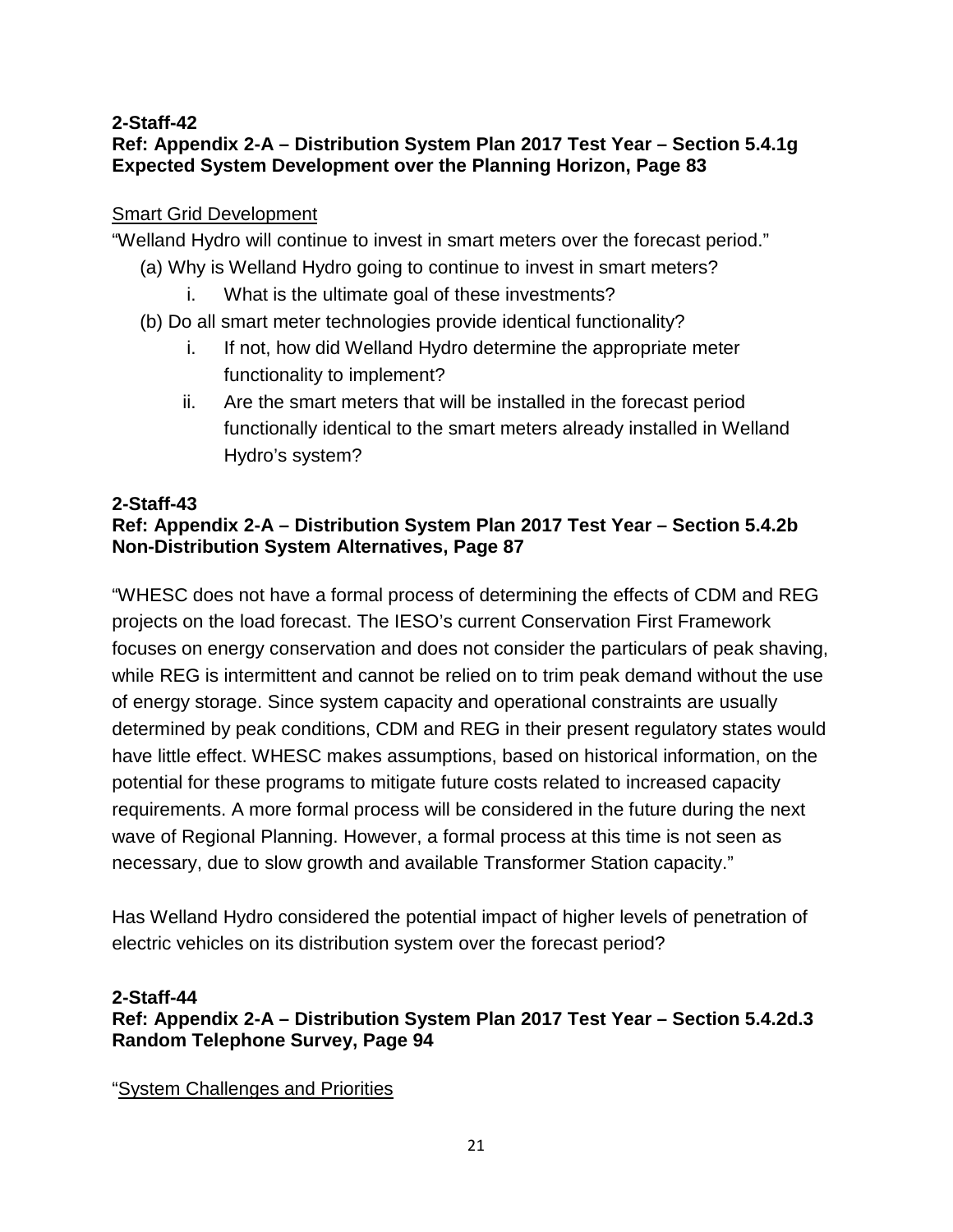#### **2-Staff-42 Ref: Appendix 2-A – Distribution System Plan 2017 Test Year – Section 5.4.1g Expected System Development over the Planning Horizon, Page 83**

# Smart Grid Development

"Welland Hydro will continue to invest in smart meters over the forecast period."

- (a) Why is Welland Hydro going to continue to invest in smart meters?
	- i. What is the ultimate goal of these investments?
- (b) Do all smart meter technologies provide identical functionality?
	- i. If not, how did Welland Hydro determine the appropriate meter functionality to implement?
	- ii. Are the smart meters that will be installed in the forecast period functionally identical to the smart meters already installed in Welland Hydro's system?

# **2-Staff-43**

# **Ref: Appendix 2-A – Distribution System Plan 2017 Test Year – Section 5.4.2b Non-Distribution System Alternatives, Page 87**

"WHESC does not have a formal process of determining the effects of CDM and REG projects on the load forecast. The IESO's current Conservation First Framework focuses on energy conservation and does not consider the particulars of peak shaving, while REG is intermittent and cannot be relied on to trim peak demand without the use of energy storage. Since system capacity and operational constraints are usually determined by peak conditions, CDM and REG in their present regulatory states would have little effect. WHESC makes assumptions, based on historical information, on the potential for these programs to mitigate future costs related to increased capacity requirements. A more formal process will be considered in the future during the next wave of Regional Planning. However, a formal process at this time is not seen as necessary, due to slow growth and available Transformer Station capacity."

Has Welland Hydro considered the potential impact of higher levels of penetration of electric vehicles on its distribution system over the forecast period?

# **2-Staff-44**

**Ref: Appendix 2-A – Distribution System Plan 2017 Test Year – Section 5.4.2d.3 Random Telephone Survey, Page 94**

"System Challenges and Priorities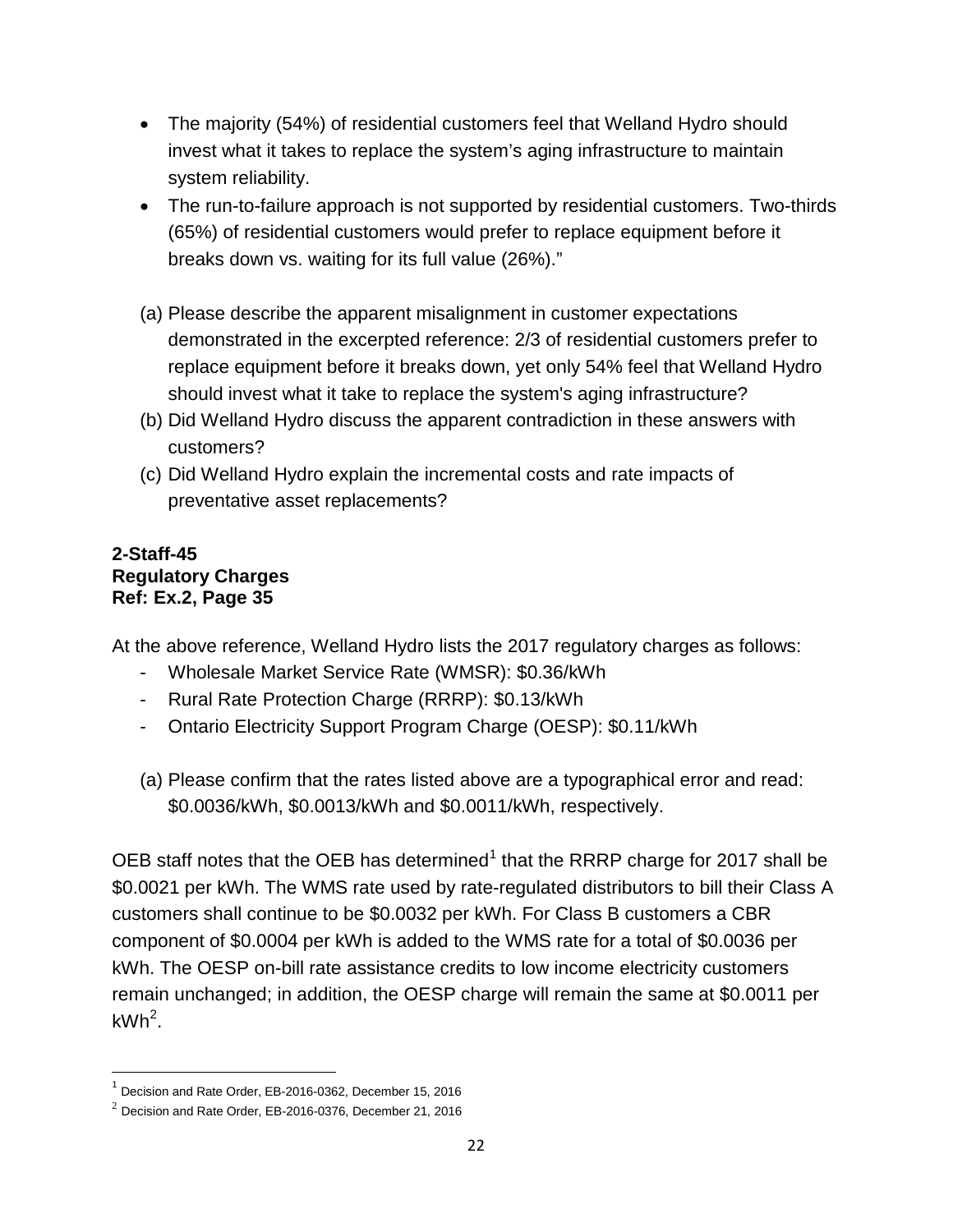- The majority (54%) of residential customers feel that Welland Hydro should invest what it takes to replace the system's aging infrastructure to maintain system reliability.
- The run-to-failure approach is not supported by residential customers. Two-thirds (65%) of residential customers would prefer to replace equipment before it breaks down vs. waiting for its full value (26%)."
- (a) Please describe the apparent misalignment in customer expectations demonstrated in the excerpted reference: 2/3 of residential customers prefer to replace equipment before it breaks down, yet only 54% feel that Welland Hydro should invest what it take to replace the system's aging infrastructure?
- (b) Did Welland Hydro discuss the apparent contradiction in these answers with customers?
- (c) Did Welland Hydro explain the incremental costs and rate impacts of preventative asset replacements?

# **2-Staff-45 Regulatory Charges Ref: Ex.2, Page 35**

At the above reference, Welland Hydro lists the 2017 regulatory charges as follows:

- Wholesale Market Service Rate (WMSR): \$0.36/kWh
- Rural Rate Protection Charge (RRRP): \$0.13/kWh
- Ontario Electricity Support Program Charge (OESP): \$0.11/kWh
- (a) Please confirm that the rates listed above are a typographical error and read: \$0.0036/kWh, \$0.0013/kWh and \$0.0011/kWh, respectively.

OEB staff notes that the OEB has determined<sup>[1](#page-22-0)</sup> that the RRRP charge for 2017 shall be \$0.0021 per kWh. The WMS rate used by rate-regulated distributors to bill their Class A customers shall continue to be \$0.0032 per kWh. For Class B customers a CBR component of \$0.0004 per kWh is added to the WMS rate for a total of \$0.0036 per kWh. The OESP on-bill rate assistance credits to low income electricity customers remain unchanged; in addition, the OESP charge will remain the same at \$0.0011 per  $kWh^2$  $kWh^2$ .

<span id="page-22-0"></span> $<sup>1</sup>$  Decision and Rate Order, EB-2016-0362, December 15, 2016</sup>

<span id="page-22-1"></span> $2$  Decision and Rate Order, EB-2016-0376, December 21, 2016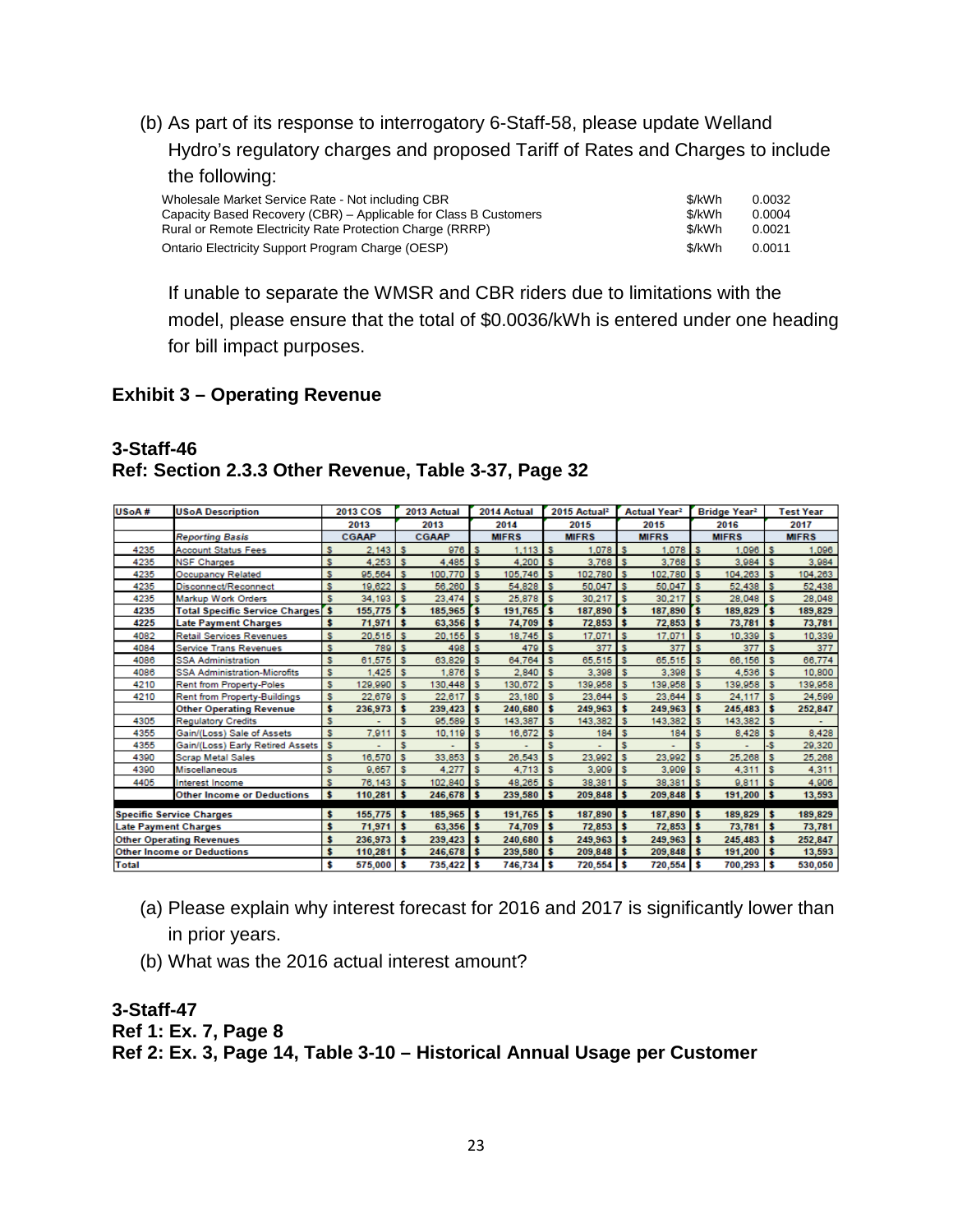(b) As part of its response to interrogatory 6-Staff-58, please update Welland Hydro's regulatory charges and proposed Tariff of Rates and Charges to include the following: Wholesale Market Service Rate - Not including CBR  $\frac{d}{dx}$ 

| <b>VINDIESALE MATKEL SEIVICE RALE - NOL INCIUDING CDR</b>        | JUKVVII | U.UUJZ |
|------------------------------------------------------------------|---------|--------|
| Capacity Based Recovery (CBR) – Applicable for Class B Customers | \$/kWh  | 0.0004 |
| Rural or Remote Electricity Rate Protection Charge (RRRP)        | \$/kWh  | 0.0021 |
| Ontario Electricity Support Program Charge (OESP)                | \$/kWh  | 0.0011 |

If unable to separate the WMSR and CBR riders due to limitations with the model, please ensure that the total of \$0.0036/kWh is entered under one heading for bill impact purposes.

#### **Exhibit 3 – Operating Revenue**

#### **3-Staff-46 Ref: Section 2.3.3 Other Revenue, Table 3-37, Page 32**

| USoA#                       | <b>USoA Description</b>                  |    | 2013 COS     |              | 2013 Actual  |              | 2014 Actual  |            | 2015 Actual <sup>2</sup> |              | Actual Year <sup>2</sup> |               | Bridge Year <sup>2</sup> |    | <b>Test Year</b> |
|-----------------------------|------------------------------------------|----|--------------|--------------|--------------|--------------|--------------|------------|--------------------------|--------------|--------------------------|---------------|--------------------------|----|------------------|
|                             |                                          |    | 2013         |              | 2013         |              | 2014         |            | 2015                     |              | 2015                     |               | 2016                     |    | 2017             |
|                             | <b>Reporting Basis</b>                   |    | <b>CGAAP</b> |              | <b>CGAAP</b> |              | <b>MIFRS</b> |            | <b>MIFRS</b>             |              | <b>MIFRS</b>             |               | <b>MIFRS</b>             |    | <b>MIFRS</b>     |
| 4235                        | <b>Account Status Fees</b>               | s  | 2.143        | s            | 976          |              | 1.113        | s          | 1.078                    |              | 1.078                    | s             | 1.096                    |    | 1.096            |
| 4235                        | <b>NSF Charges</b>                       | s  | 4.253        | $\mathbf{s}$ | 4.485        | Ιs           | 4.200        | l s        | 3.768                    | <b>Is</b>    | $3.768$ S                |               | $3.984$ S                |    | 3.984            |
| 4235                        | <b>Occupancy Related</b>                 | s  | 95.564       | $\mathbf{s}$ | 100,770      | $\mathbf{s}$ | 105,746 \$   |            | 102,780 S                |              | 102,780 S                |               | $104,263$ \$             |    | 104.263          |
| 4235                        | Disconnect/Reconnect                     | s  | 19,622       | $\mathbf{s}$ | 56.260       | l s          | 54.828       | l s        | 50.047                   | Is.          | 50.047                   | 'Is           | $52.438$ S               |    | 52,438           |
| 4235                        | Markup Work Orders                       | s  | 34.193       | $\mathbf{s}$ | 23.474       | l s          | 25,878       | s          | 30.217                   | 1s           | 30.217                   | s             | $28.048$ \ \$            |    | 28.048           |
| 4235                        | <b>Total Specific Service Charges</b> \$ |    | 155,775      | rs.          | 185,965      | r.           | 191,765      | $\sqrt{5}$ | 187,890                  | Ts.          | 187,890                  | Γ\$.          | 189,829                  | s  | 189,829          |
| 4225                        | <b>Late Payment Charges</b>              | s  | 71,971       | <b>s</b>     | 63,356       | l s          | 74,709       | s          | $72,853$ \$              |              | $72,853$ \$              |               | $73,781$ \$              |    | 73,781           |
| 4082                        | <b>Retail Services Revenues</b>          | s  | $20.515$ S   |              | 20.155       | Ιs           | 18,745       | 1s         | 17.071                   | l s          | 17.071                   | $\mathbf{s}$  | $10.339$ $\frac{1}{3}$   |    | 10,339           |
| 4084                        | <b>Service Trans Revenues</b>            | s  | 789 S        |              | 498 S        |              | 479 S        |            | 377                      | Is.          | 377                      | $\mathsf{ls}$ | 377S                     |    | 377              |
| 4086                        | <b>SSA Administration</b>                | s  | 61,575       | s            | 63,829       | $\mathbf{s}$ | 64,764       | s          | 65,515                   | Is.          | 65,515                   | s             | 66,156                   | s  | 66,774           |
| 4086                        | <b>SSA Administration-Microfits</b>      | s  | .425         | s            | 1,876        | $\mathbf{s}$ | 2.840        | s          | 3.398                    | s            | 3,398                    | s             | 4,536                    | s  | 10,800           |
| 4210                        | <b>Rent from Property-Poles</b>          | s  | 129,990      | s            | 130,448      | <b>S</b>     | 130.672      | s          | 139,958                  | s            | 139,958                  | s             | 139,958                  | s  | 139,958          |
| 4210                        | <b>Rent from Property-Buildings</b>      | s  | 22,679       | s            | 22,617       | l s          | 23,180       | s          | 23,644                   | s            | 23,644                   | s             | 24.117                   | -S | 24,599           |
|                             | <b>Other Operating Revenue</b>           | s  | 236,973      | s            | 239,423      | - \$         | 240,680      | \$         | 249,963                  | s            | 249,963                  | \$            | 245,483                  | s  | 252,847          |
| 4305                        | <b>Regulatory Credits</b>                | s  |              | s            | 95,589       | $\mathbf{s}$ | 143,387      | s          | 143,382                  | $\mathbf{s}$ | 143,382                  | s             | 143,382 \$               |    |                  |
| 4355                        | Gain/(Loss) Sale of Assets               | s  | 7,911        | s            | 10,119       | - 5          | 16,672       | s          | 184                      |              | 184                      | s             | 8,428                    | s  | 8,428            |
| 4355                        | Gain/(Loss) Early Retired Assets         | s  |              | s            |              | s            |              | s          |                          |              |                          | s             |                          | -S | 29,320           |
| 4390                        | <b>Scrap Metal Sales</b>                 | s  | 16,570       | s            | 33,853       |              | 26,543       | s          | 23,992                   |              | 23,992                   | s             | 25,268                   |    | 25,268           |
| 4390                        | Miscellaneous                            | s  | 9.657        | s            | 4.277        | s            | 4.713        | s          | 3,909                    | s            | 3,909                    | s             | 4,311                    | s  | 4,311            |
| 4405                        | Interest Income                          | s  | 76,143       | s            | 102,840      |              | 48.265       | s          | 38,381                   | s            | 38.381                   | s             | 9,811                    | s  | 4.906            |
|                             | <b>Other Income or Deductions</b>        | s  | $110,281$ \$ |              | 246,678 \$   |              | 239,580 \$   |            | 209,848 \$               |              | $209,848$ \$             |               | $191,200$ \$             |    | 13,593           |
|                             | <b>Specific Service Charges</b>          | \$ | 155,775      | <b>S</b>     | 185,965      | l s          | $191,765$ \$ |            | 187,890 \$               |              | 187,890 \$               |               | $189,829$ \$             |    | 189,829          |
| <b>Late Payment Charges</b> |                                          | s  | 71,971       | s            | 63,356       | Is.          | 74,709       | s          | $72,853$ \$              |              | 72,853                   | s             | $73,781$ \$              |    | 73,781           |
|                             | <b>Other Operating Revenues</b>          | \$ | 236,973      | s            | 239,423      | $\cdot$      | 240,680      | s          | 249,963 \$               |              | 249,963                  | s             | 245,483                  | s  | 252,847          |
|                             | <b>Other Income or Deductions</b>        | \$ | 110,281      | s            | 246,678      | Is.          | 239,580      | s          | 209,848 \$               |              | 209,848                  | s             | $191,200$ \$             |    | 13,593           |
| <b>Total</b>                |                                          | \$ | 575,000      | s            | 735,422      | l s          | 746,734      | s          | 720,554 \$               |              | 720,554                  | s             | 700,293                  |    | 530,050          |

- (a) Please explain why interest forecast for 2016 and 2017 is significantly lower than in prior years.
- (b) What was the 2016 actual interest amount?

### **3-Staff-47 Ref 1: Ex. 7, Page 8 Ref 2: Ex. 3, Page 14, Table 3-10 – Historical Annual Usage per Customer**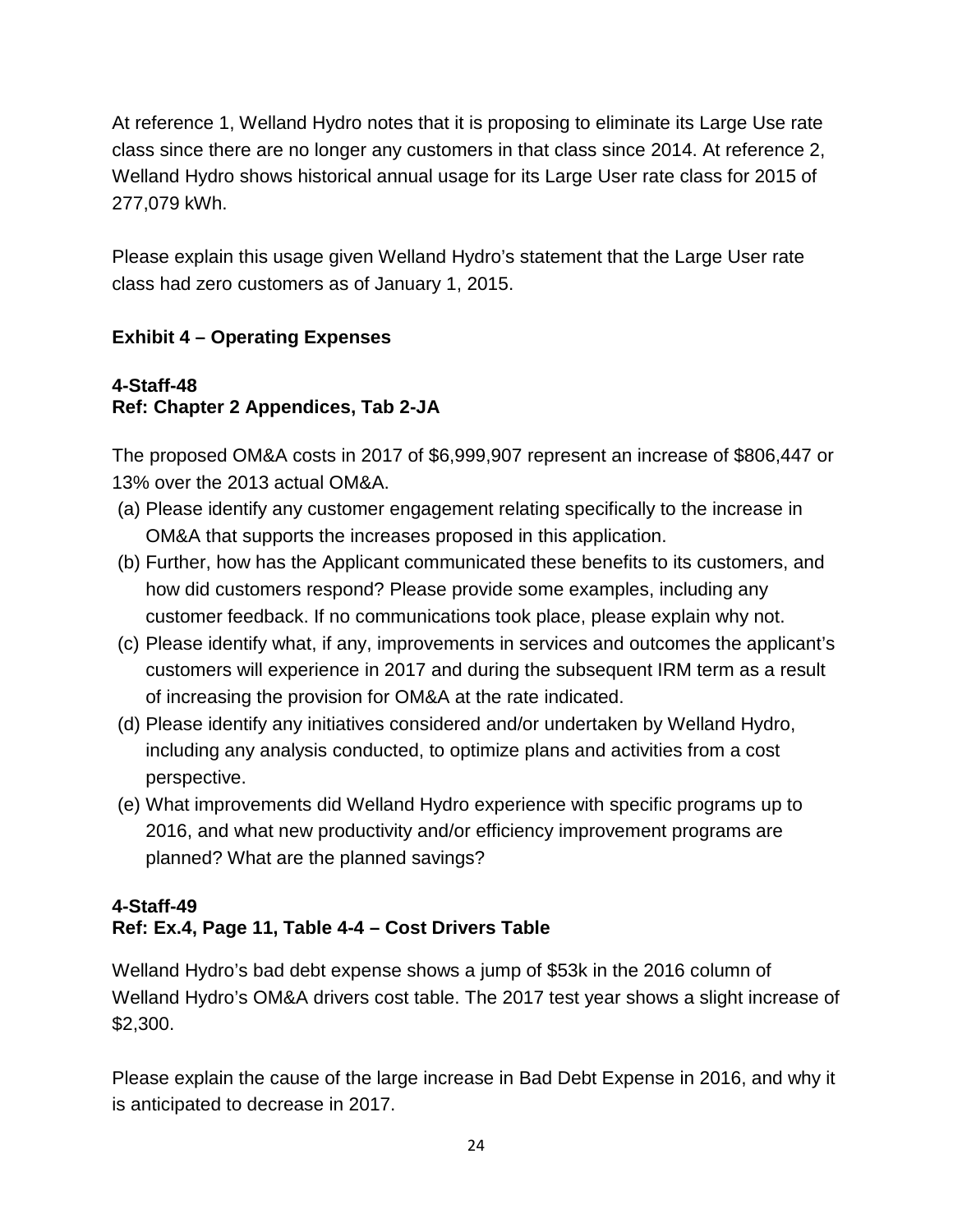At reference 1, Welland Hydro notes that it is proposing to eliminate its Large Use rate class since there are no longer any customers in that class since 2014. At reference 2, Welland Hydro shows historical annual usage for its Large User rate class for 2015 of 277,079 kWh.

Please explain this usage given Welland Hydro's statement that the Large User rate class had zero customers as of January 1, 2015.

# **Exhibit 4 – Operating Expenses**

# **4-Staff-48 Ref: Chapter 2 Appendices, Tab 2-JA**

The proposed OM&A costs in 2017 of \$6,999,907 represent an increase of \$806,447 or 13% over the 2013 actual OM&A.

- (a) Please identify any customer engagement relating specifically to the increase in OM&A that supports the increases proposed in this application.
- (b) Further, how has the Applicant communicated these benefits to its customers, and how did customers respond? Please provide some examples, including any customer feedback. If no communications took place, please explain why not.
- (c) Please identify what, if any, improvements in services and outcomes the applicant's customers will experience in 2017 and during the subsequent IRM term as a result of increasing the provision for OM&A at the rate indicated.
- (d) Please identify any initiatives considered and/or undertaken by Welland Hydro, including any analysis conducted, to optimize plans and activities from a cost perspective.
- (e) What improvements did Welland Hydro experience with specific programs up to 2016, and what new productivity and/or efficiency improvement programs are planned? What are the planned savings?

# **4-Staff-49 Ref: Ex.4, Page 11, Table 4-4 – Cost Drivers Table**

Welland Hydro's bad debt expense shows a jump of \$53k in the 2016 column of Welland Hydro's OM&A drivers cost table. The 2017 test year shows a slight increase of \$2,300.

Please explain the cause of the large increase in Bad Debt Expense in 2016, and why it is anticipated to decrease in 2017.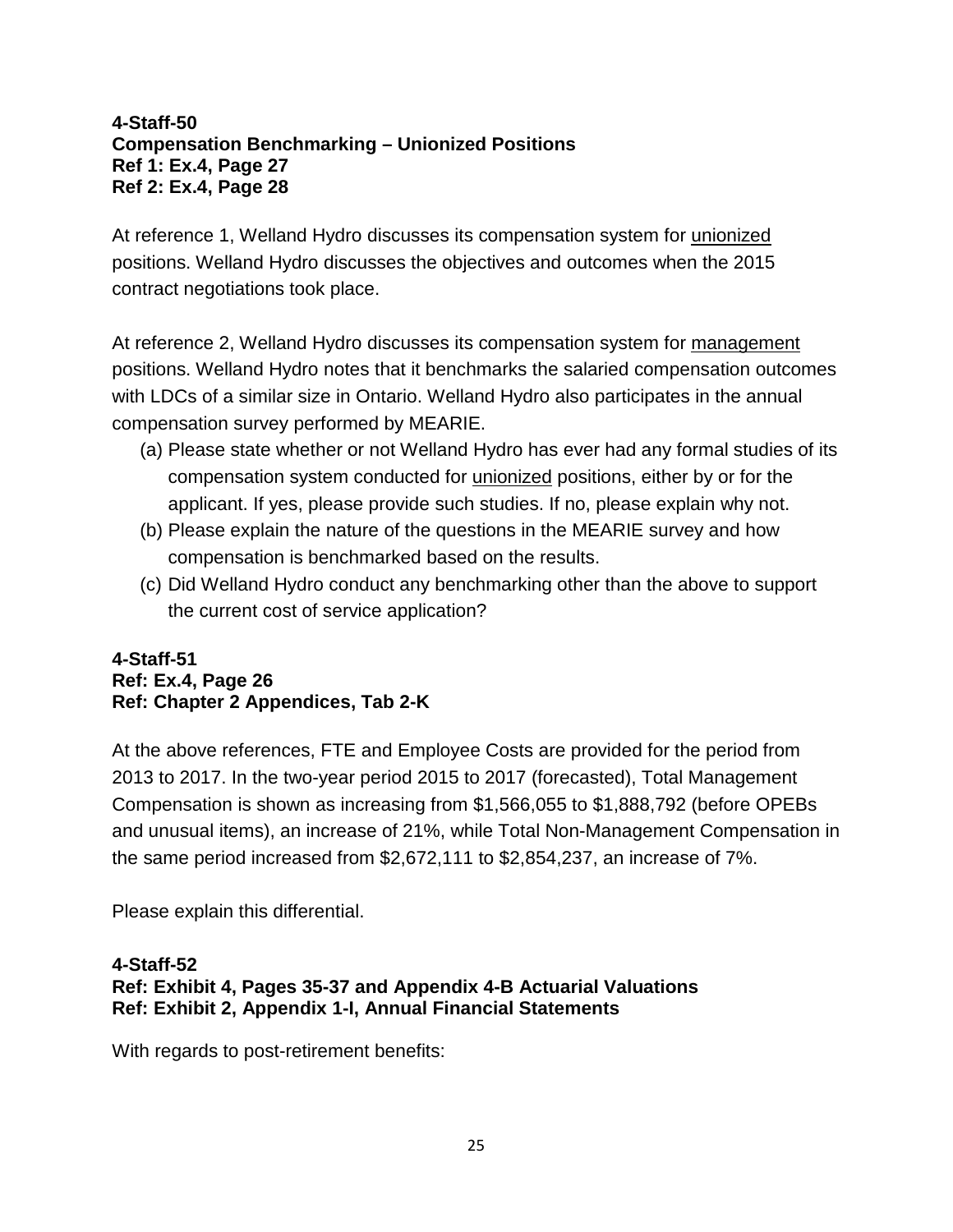#### **4-Staff-50 Compensation Benchmarking – Unionized Positions Ref 1: Ex.4, Page 27 Ref 2: Ex.4, Page 28**

At reference 1, Welland Hydro discusses its compensation system for unionized positions. Welland Hydro discusses the objectives and outcomes when the 2015 contract negotiations took place.

At reference 2, Welland Hydro discusses its compensation system for management positions. Welland Hydro notes that it benchmarks the salaried compensation outcomes with LDCs of a similar size in Ontario. Welland Hydro also participates in the annual compensation survey performed by MEARIE.

- (a) Please state whether or not Welland Hydro has ever had any formal studies of its compensation system conducted for unionized positions, either by or for the applicant. If yes, please provide such studies. If no, please explain why not.
- (b) Please explain the nature of the questions in the MEARIE survey and how compensation is benchmarked based on the results.
- (c) Did Welland Hydro conduct any benchmarking other than the above to support the current cost of service application?

### **4-Staff-51 Ref: Ex.4, Page 26 Ref: Chapter 2 Appendices, Tab 2-K**

At the above references, FTE and Employee Costs are provided for the period from 2013 to 2017. In the two-year period 2015 to 2017 (forecasted), Total Management Compensation is shown as increasing from \$1,566,055 to \$1,888,792 (before OPEBs and unusual items), an increase of 21%, while Total Non-Management Compensation in the same period increased from \$2,672,111 to \$2,854,237, an increase of 7%.

Please explain this differential.

#### **4-Staff-52 Ref: Exhibit 4, Pages 35-37 and Appendix 4-B Actuarial Valuations Ref: Exhibit 2, Appendix 1-I, Annual Financial Statements**

With regards to post-retirement benefits: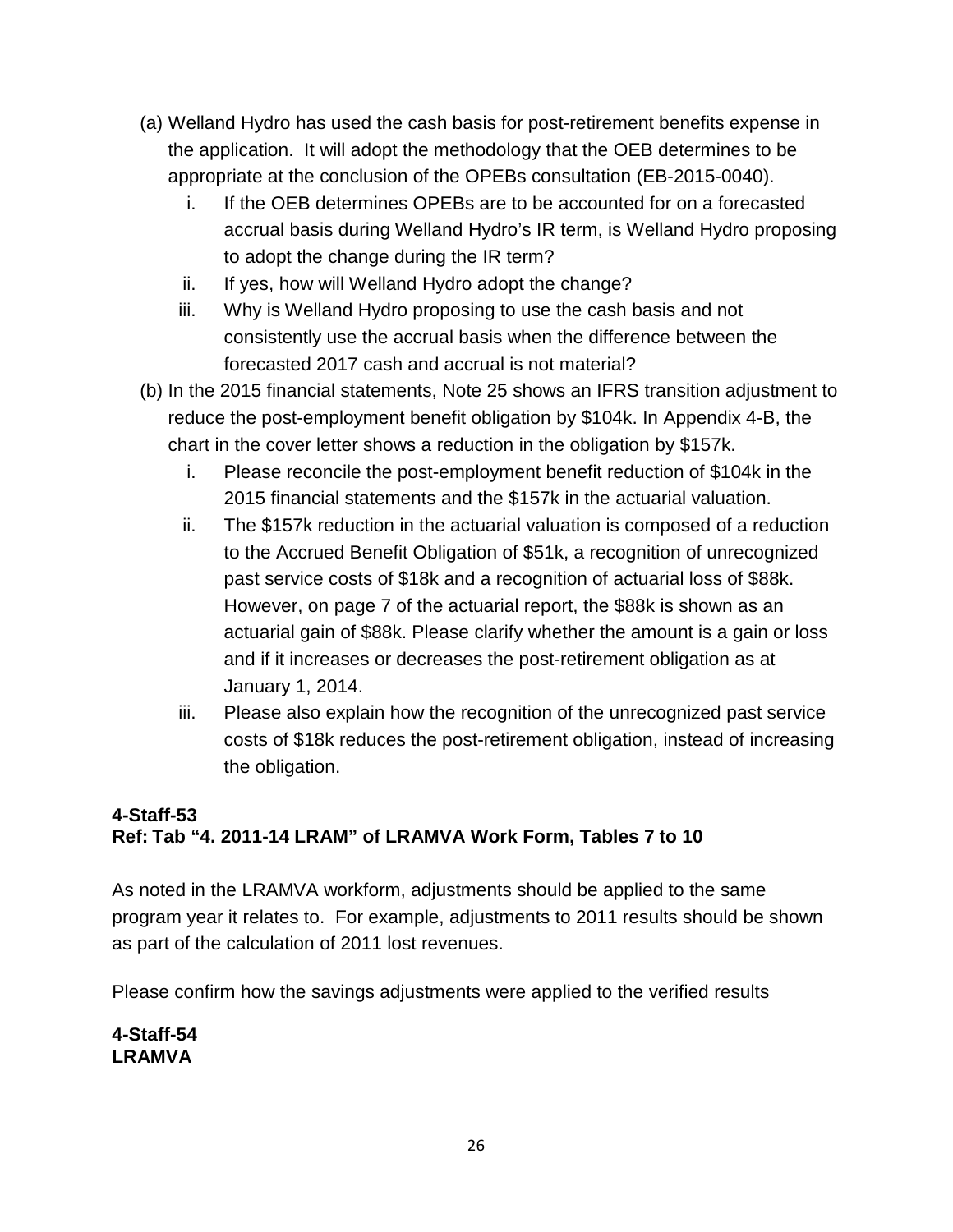- (a) Welland Hydro has used the cash basis for post-retirement benefits expense in the application. It will adopt the methodology that the OEB determines to be appropriate at the conclusion of the OPEBs consultation (EB-2015-0040).
	- i. If the OEB determines OPEBs are to be accounted for on a forecasted accrual basis during Welland Hydro's IR term, is Welland Hydro proposing to adopt the change during the IR term?
	- ii. If yes, how will Welland Hydro adopt the change?
	- iii. Why is Welland Hydro proposing to use the cash basis and not consistently use the accrual basis when the difference between the forecasted 2017 cash and accrual is not material?
- (b) In the 2015 financial statements, Note 25 shows an IFRS transition adjustment to reduce the post-employment benefit obligation by \$104k. In Appendix 4-B, the chart in the cover letter shows a reduction in the obligation by \$157k.
	- i. Please reconcile the post-employment benefit reduction of \$104k in the 2015 financial statements and the \$157k in the actuarial valuation.
	- ii. The \$157k reduction in the actuarial valuation is composed of a reduction to the Accrued Benefit Obligation of \$51k, a recognition of unrecognized past service costs of \$18k and a recognition of actuarial loss of \$88k. However, on page 7 of the actuarial report, the \$88k is shown as an actuarial gain of \$88k. Please clarify whether the amount is a gain or loss and if it increases or decreases the post-retirement obligation as at January 1, 2014.
	- iii. Please also explain how the recognition of the unrecognized past service costs of \$18k reduces the post-retirement obligation, instead of increasing the obligation.

# **4-Staff-53 Ref: Tab "4. 2011-14 LRAM" of LRAMVA Work Form, Tables 7 to 10**

As noted in the LRAMVA workform, adjustments should be applied to the same program year it relates to. For example, adjustments to 2011 results should be shown as part of the calculation of 2011 lost revenues.

Please confirm how the savings adjustments were applied to the verified results

**4-Staff-54 LRAMVA**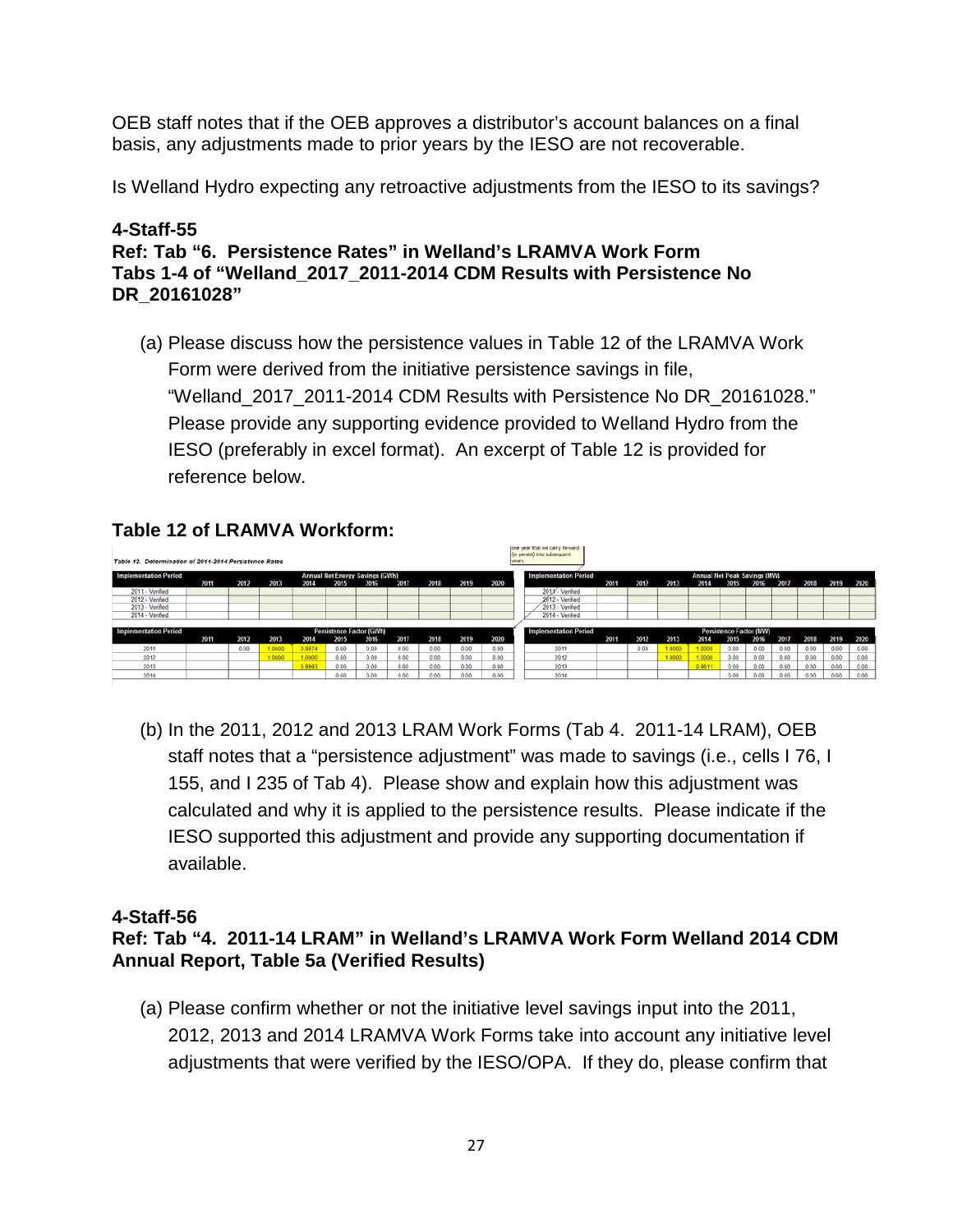OEB staff notes that if the OEB approves a distributor's account balances on a final basis, any adjustments made to prior years by the IESO are not recoverable.

Is Welland Hydro expecting any retroactive adjustments from the IESO to its savings?

#### **4-Staff-55 Ref: Tab "6. Persistence Rates" in Welland's LRAMVA Work Form Tabs 1-4 of "Welland\_2017\_2011-2014 CDM Results with Persistence No DR\_20161028"**

(a) Please discuss how the persistence values in Table 12 of the LRAMVA Work Form were derived from the initiative persistence savings in file, "Welland\_2017\_2011-2014 CDM Results with Persistence No DR\_20161028." Please provide any supporting evidence provided to Welland Hydro from the IESO (preferably in excel format). An excerpt of Table 12 is provided for reference below.

# **Table 12 of LRAMVA Workform:**

| Table 12. Determination of 2011-2014 Persistence Rates |                                        |      |        |        |      |                                 |      |      |      |      | years.                                                         | carse year gratt will carry forward.<br>(or persist) into subsequent |                                                                     |      |        |        |      |      |      |      |      |      |
|--------------------------------------------------------|----------------------------------------|------|--------|--------|------|---------------------------------|------|------|------|------|----------------------------------------------------------------|----------------------------------------------------------------------|---------------------------------------------------------------------|------|--------|--------|------|------|------|------|------|------|
| <b>Implementation Period</b>                           | <b>Annual Net Energy Savings (GWh)</b> |      |        |        |      |                                 |      |      |      |      |                                                                |                                                                      | <b>Implementation Period</b><br><b>Annual Net Peak Savings (MW)</b> |      |        |        |      |      |      |      |      |      |
|                                                        | 2011                                   | 2012 | 2013   | 2014   | 2015 | 2016                            | 2017 | 2018 | 2019 | 2020 |                                                                |                                                                      | 2011                                                                | 2012 | 2013   | 2014   | 2015 | 2016 | 2017 | 2018 | 2019 | 2020 |
| 2011 - Verified                                        |                                        |      |        |        |      |                                 |      |      |      |      |                                                                | 2011 Verified                                                        |                                                                     |      |        |        |      |      |      |      |      |      |
| 2012 - Verned                                          |                                        |      |        |        |      |                                 |      |      |      |      |                                                                | 2012 - Verified                                                      |                                                                     |      |        |        |      |      |      |      |      |      |
| 2013 - Verified                                        |                                        |      |        |        |      |                                 |      |      |      |      |                                                                | 2013 - Verified                                                      |                                                                     |      |        |        |      |      |      |      |      |      |
| 2014 - Verned                                          |                                        |      |        |        |      |                                 |      |      |      |      |                                                                | 2014 - Verified                                                      |                                                                     |      |        |        |      |      |      |      |      |      |
|                                                        |                                        |      |        |        |      |                                 |      |      |      |      |                                                                |                                                                      |                                                                     |      |        |        |      |      |      |      |      |      |
| <b>Implementation Period</b>                           |                                        |      |        |        |      | <b>Persistence Factor (GWh)</b> |      |      |      |      | <b>Implementation Period</b><br><b>Persistence Factor (MW)</b> |                                                                      |                                                                     |      |        |        |      |      |      |      |      |      |
|                                                        | 2011                                   | 2012 | 2013   | 2014   | 2015 | 2016                            | 2017 | 2018 | 2019 | 2020 |                                                                |                                                                      | 2011                                                                | 2012 | 2013   | 2014   | 2015 | 2016 | 2017 | 2018 | 2019 | 2020 |
| 2011                                                   |                                        | 0.00 | 1,0000 | 0.9974 | 0.00 | 0.00                            | 0.00 | 0.00 | 0.00 | 0.00 |                                                                | 2011                                                                 |                                                                     | 0.00 | 1.0000 | 1.0000 | 0.00 | 0.00 | 0.00 | 0.00 | 0.00 | 0.00 |
| 2012                                                   |                                        |      | 1,0000 | 1,0000 | 0.00 | 0.00                            | 0.00 | 0.00 | 0.00 | 0.00 |                                                                | 2012                                                                 |                                                                     |      | 1,0000 | 1,0000 | 0.00 | 0.00 | 0.00 | 0.00 | 0.00 | 0.00 |
| 2013                                                   |                                        |      |        | 1,9993 | 0.00 | 0.00                            | 0.00 | 0.00 | 0.00 | 0.00 |                                                                | 2013                                                                 |                                                                     |      |        | 0.9611 | 0.00 | 0.00 | 0.00 | 0.00 | 0.00 | 0.00 |
| 2014                                                   |                                        |      |        |        | 0.00 | 0.00                            | 0.00 | 0.00 | 0.00 | 0.00 |                                                                | 2014                                                                 |                                                                     |      |        |        | 0.00 | 0.00 | 0.00 | 0.00 | 0.00 | 0.00 |

(b) In the 2011, 2012 and 2013 LRAM Work Forms (Tab 4. 2011-14 LRAM), OEB staff notes that a "persistence adjustment" was made to savings (i.e., cells I 76, I 155, and I 235 of Tab 4). Please show and explain how this adjustment was calculated and why it is applied to the persistence results. Please indicate if the IESO supported this adjustment and provide any supporting documentation if available.

# **4-Staff-56**

# **Ref: Tab "4. 2011-14 LRAM" in Welland's LRAMVA Work Form Welland 2014 CDM Annual Report, Table 5a (Verified Results)**

(a) Please confirm whether or not the initiative level savings input into the 2011, 2012, 2013 and 2014 LRAMVA Work Forms take into account any initiative level adjustments that were verified by the IESO/OPA. If they do, please confirm that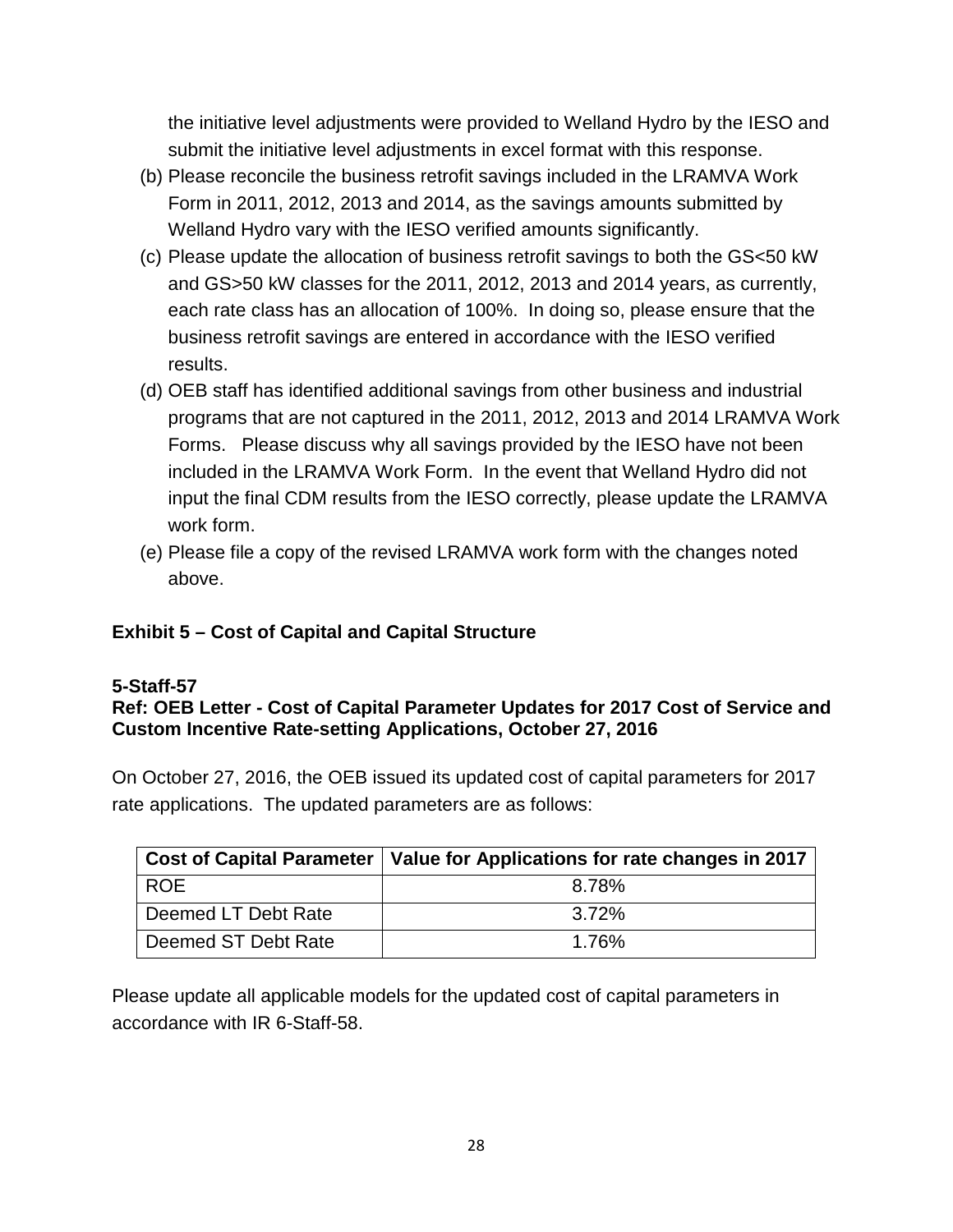the initiative level adjustments were provided to Welland Hydro by the IESO and submit the initiative level adjustments in excel format with this response.

- (b) Please reconcile the business retrofit savings included in the LRAMVA Work Form in 2011, 2012, 2013 and 2014, as the savings amounts submitted by Welland Hydro vary with the IESO verified amounts significantly.
- (c) Please update the allocation of business retrofit savings to both the GS<50 kW and GS>50 kW classes for the 2011, 2012, 2013 and 2014 years, as currently, each rate class has an allocation of 100%. In doing so, please ensure that the business retrofit savings are entered in accordance with the IESO verified results.
- (d) OEB staff has identified additional savings from other business and industrial programs that are not captured in the 2011, 2012, 2013 and 2014 LRAMVA Work Forms. Please discuss why all savings provided by the IESO have not been included in the LRAMVA Work Form. In the event that Welland Hydro did not input the final CDM results from the IESO correctly, please update the LRAMVA work form.
- (e) Please file a copy of the revised LRAMVA work form with the changes noted above.

# **Exhibit 5 – Cost of Capital and Capital Structure**

# **5-Staff-57**

# **Ref: OEB Letter - Cost of Capital Parameter Updates for 2017 Cost of Service and Custom Incentive Rate-setting Applications, October 27, 2016**

On October 27, 2016, the OEB issued its updated cost of capital parameters for 2017 rate applications. The updated parameters are as follows:

|                     | $\mid$ Cost of Capital Parameter $\mid$ Value for Applications for rate changes in 2017 |
|---------------------|-----------------------------------------------------------------------------------------|
| <b>ROE</b>          | 8.78%                                                                                   |
| Deemed LT Debt Rate | $3.72\%$                                                                                |
| Deemed ST Debt Rate | 1.76%                                                                                   |

Please update all applicable models for the updated cost of capital parameters in accordance with IR 6-Staff-58.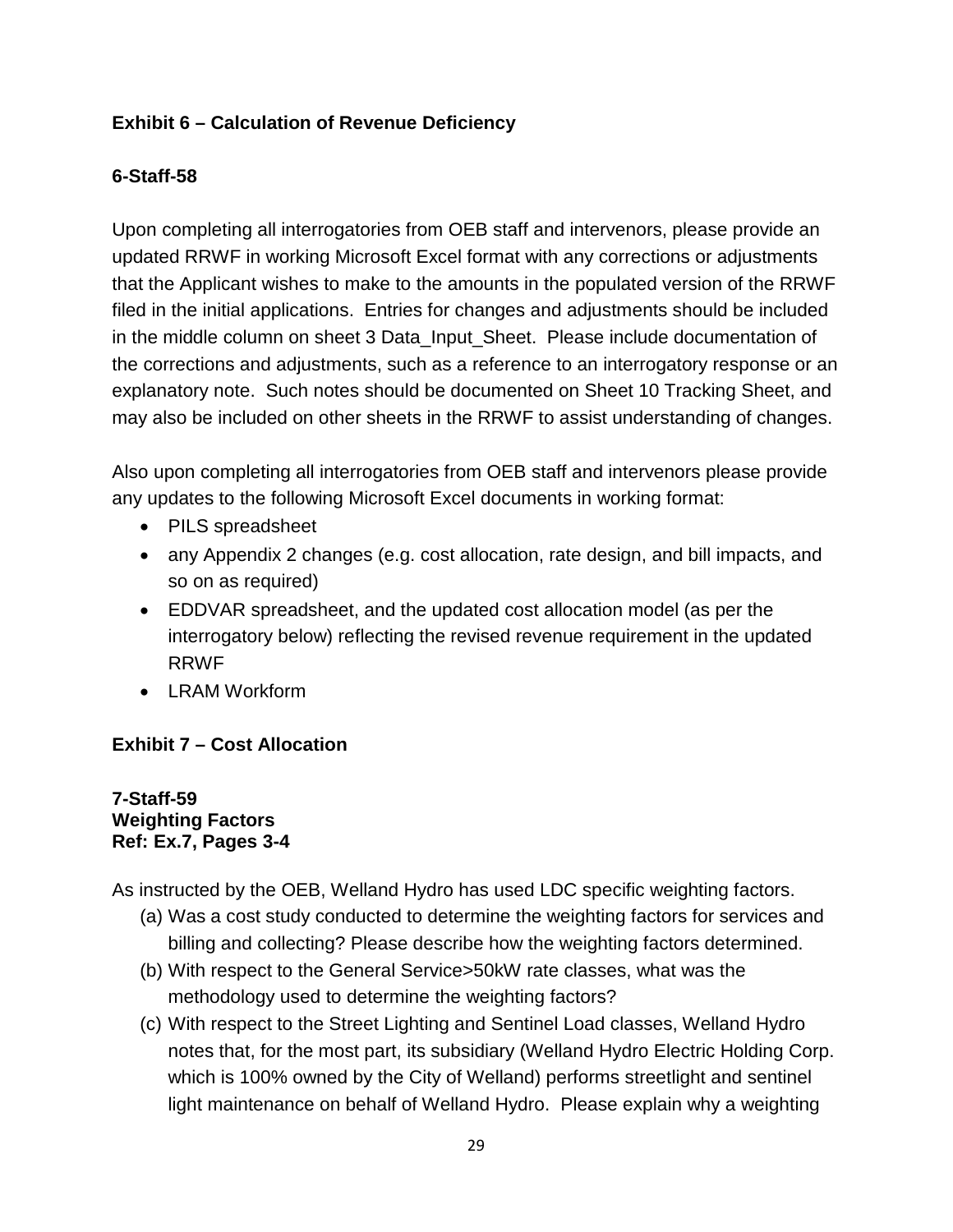# **Exhibit 6 – Calculation of Revenue Deficiency**

# **6-Staff-58**

Upon completing all interrogatories from OEB staff and intervenors, please provide an updated RRWF in working Microsoft Excel format with any corrections or adjustments that the Applicant wishes to make to the amounts in the populated version of the RRWF filed in the initial applications. Entries for changes and adjustments should be included in the middle column on sheet 3 Data\_Input\_Sheet. Please include documentation of the corrections and adjustments, such as a reference to an interrogatory response or an explanatory note. Such notes should be documented on Sheet 10 Tracking Sheet, and may also be included on other sheets in the RRWF to assist understanding of changes.

Also upon completing all interrogatories from OEB staff and intervenors please provide any updates to the following Microsoft Excel documents in working format:

- PILS spreadsheet
- any Appendix 2 changes (e.g. cost allocation, rate design, and bill impacts, and so on as required)
- EDDVAR spreadsheet, and the updated cost allocation model (as per the interrogatory below) reflecting the revised revenue requirement in the updated RRWF
- LRAM Workform

# **Exhibit 7 – Cost Allocation**

#### **7-Staff-59 Weighting Factors Ref: Ex.7, Pages 3-4**

As instructed by the OEB, Welland Hydro has used LDC specific weighting factors.

- (a) Was a cost study conducted to determine the weighting factors for services and billing and collecting? Please describe how the weighting factors determined.
- (b) With respect to the General Service>50kW rate classes, what was the methodology used to determine the weighting factors?
- (c) With respect to the Street Lighting and Sentinel Load classes, Welland Hydro notes that, for the most part, its subsidiary (Welland Hydro Electric Holding Corp. which is 100% owned by the City of Welland) performs streetlight and sentinel light maintenance on behalf of Welland Hydro. Please explain why a weighting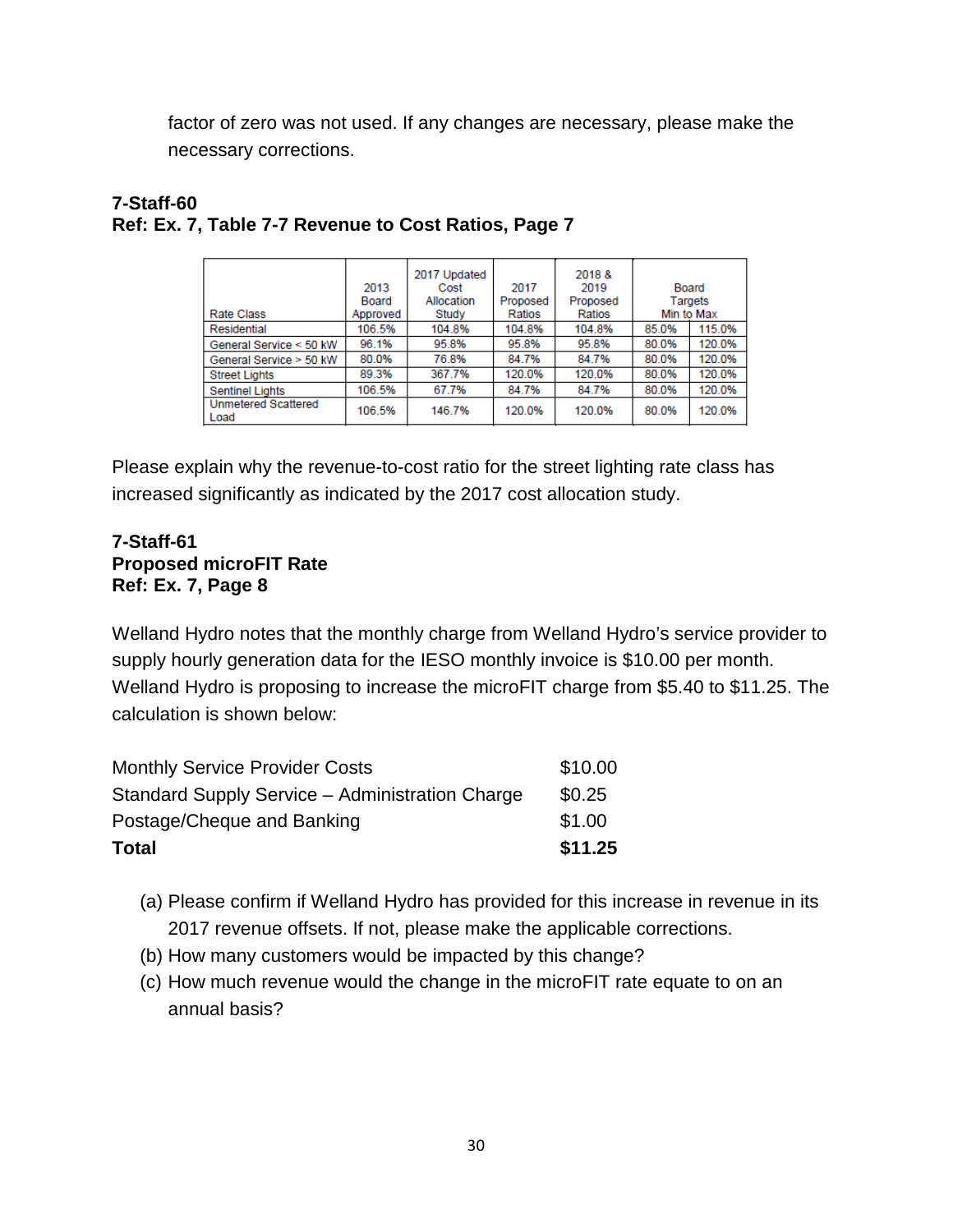factor of zero was not used. If any changes are necessary, please make the necessary corrections.

|                                    | 2013<br>Board | 2017 Updated<br>Cost<br>Allocation | 2017<br>Proposed | 2018 &<br>2019<br>Proposed |       | Board<br>Targets |
|------------------------------------|---------------|------------------------------------|------------------|----------------------------|-------|------------------|
| <b>Rate Class</b>                  | Approved      | Study                              | Ratios           | Ratios                     |       | Min to Max       |
| Residential                        | 106.5%        | 104.8%                             | 104.8%           | 104.8%                     | 85.0% | 115.0%           |
| General Service < 50 kW            | 96.1%         | 95.8%                              | 95.8%            | 95.8%                      | 80.0% | 120.0%           |
| General Service > 50 kW            | 80.0%         | 76.8%                              | 84.7%            | 84.7%                      | 80.0% | 120.0%           |
| <b>Street Lights</b>               | 89.3%         | 367.7%                             | 120.0%           | 120.0%                     | 80.0% | 120.0%           |
| <b>Sentinel Lights</b>             | 106.5%        | 67.7%                              | 84.7%            | 84.7%                      | 80.0% | 120.0%           |
| <b>Unmetered Scattered</b><br>Load | 106.5%        | 146.7%                             | 120.0%           | 120.0%                     | 80.0% | 120.0%           |

### **7-Staff-60 Ref: Ex. 7, Table 7-7 Revenue to Cost Ratios, Page 7**

Please explain why the revenue-to-cost ratio for the street lighting rate class has increased significantly as indicated by the 2017 cost allocation study.

# **7-Staff-61 Proposed microFIT Rate Ref: Ex. 7, Page 8**

Welland Hydro notes that the monthly charge from Welland Hydro's service provider to supply hourly generation data for the IESO monthly invoice is \$10.00 per month. Welland Hydro is proposing to increase the microFIT charge from \$5.40 to \$11.25. The calculation is shown below:

| <b>Monthly Service Provider Costs</b>           | \$10.00 |
|-------------------------------------------------|---------|
| Standard Supply Service - Administration Charge | \$0.25  |
| Postage/Cheque and Banking                      | \$1.00  |
| Total                                           | \$11.25 |

- (a) Please confirm if Welland Hydro has provided for this increase in revenue in its 2017 revenue offsets. If not, please make the applicable corrections.
- (b) How many customers would be impacted by this change?
- (c) How much revenue would the change in the microFIT rate equate to on an annual basis?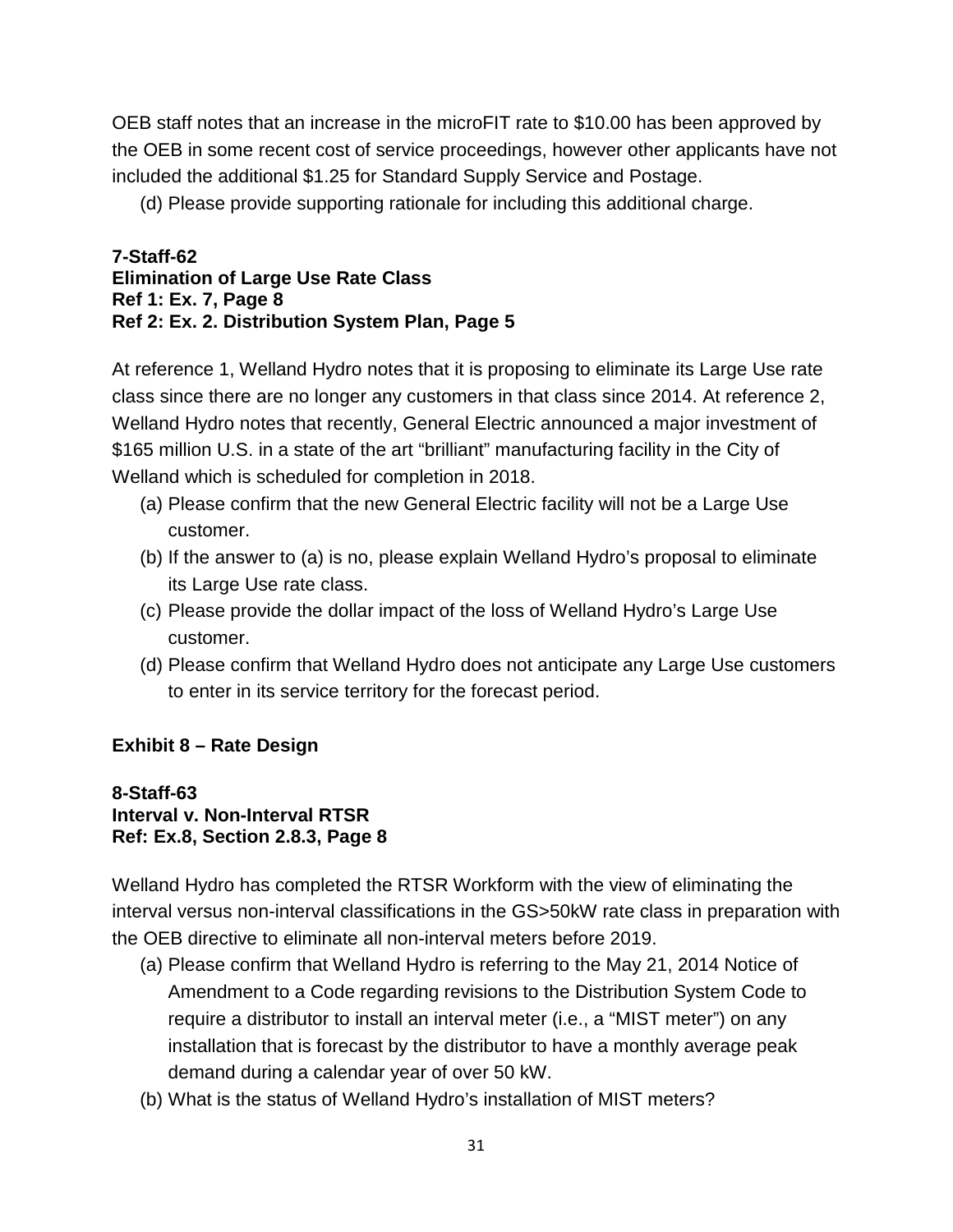OEB staff notes that an increase in the microFIT rate to \$10.00 has been approved by the OEB in some recent cost of service proceedings, however other applicants have not included the additional \$1.25 for Standard Supply Service and Postage.

(d) Please provide supporting rationale for including this additional charge.

#### **7-Staff-62 Elimination of Large Use Rate Class Ref 1: Ex. 7, Page 8 Ref 2: Ex. 2. Distribution System Plan, Page 5**

At reference 1, Welland Hydro notes that it is proposing to eliminate its Large Use rate class since there are no longer any customers in that class since 2014. At reference 2, Welland Hydro notes that recently, General Electric announced a major investment of \$165 million U.S. in a state of the art "brilliant" manufacturing facility in the City of Welland which is scheduled for completion in 2018.

- (a) Please confirm that the new General Electric facility will not be a Large Use customer.
- (b) If the answer to (a) is no, please explain Welland Hydro's proposal to eliminate its Large Use rate class.
- (c) Please provide the dollar impact of the loss of Welland Hydro's Large Use customer.
- (d) Please confirm that Welland Hydro does not anticipate any Large Use customers to enter in its service territory for the forecast period.

# **Exhibit 8 – Rate Design**

#### **8-Staff-63 Interval v. Non-Interval RTSR Ref: Ex.8, Section 2.8.3, Page 8**

Welland Hydro has completed the RTSR Workform with the view of eliminating the interval versus non-interval classifications in the GS>50kW rate class in preparation with the OEB directive to eliminate all non-interval meters before 2019.

- (a) Please confirm that Welland Hydro is referring to the May 21, 2014 Notice of Amendment to a Code regarding revisions to the Distribution System Code to require a distributor to install an interval meter (i.e., a "MIST meter") on any installation that is forecast by the distributor to have a monthly average peak demand during a calendar year of over 50 kW.
- (b) What is the status of Welland Hydro's installation of MIST meters?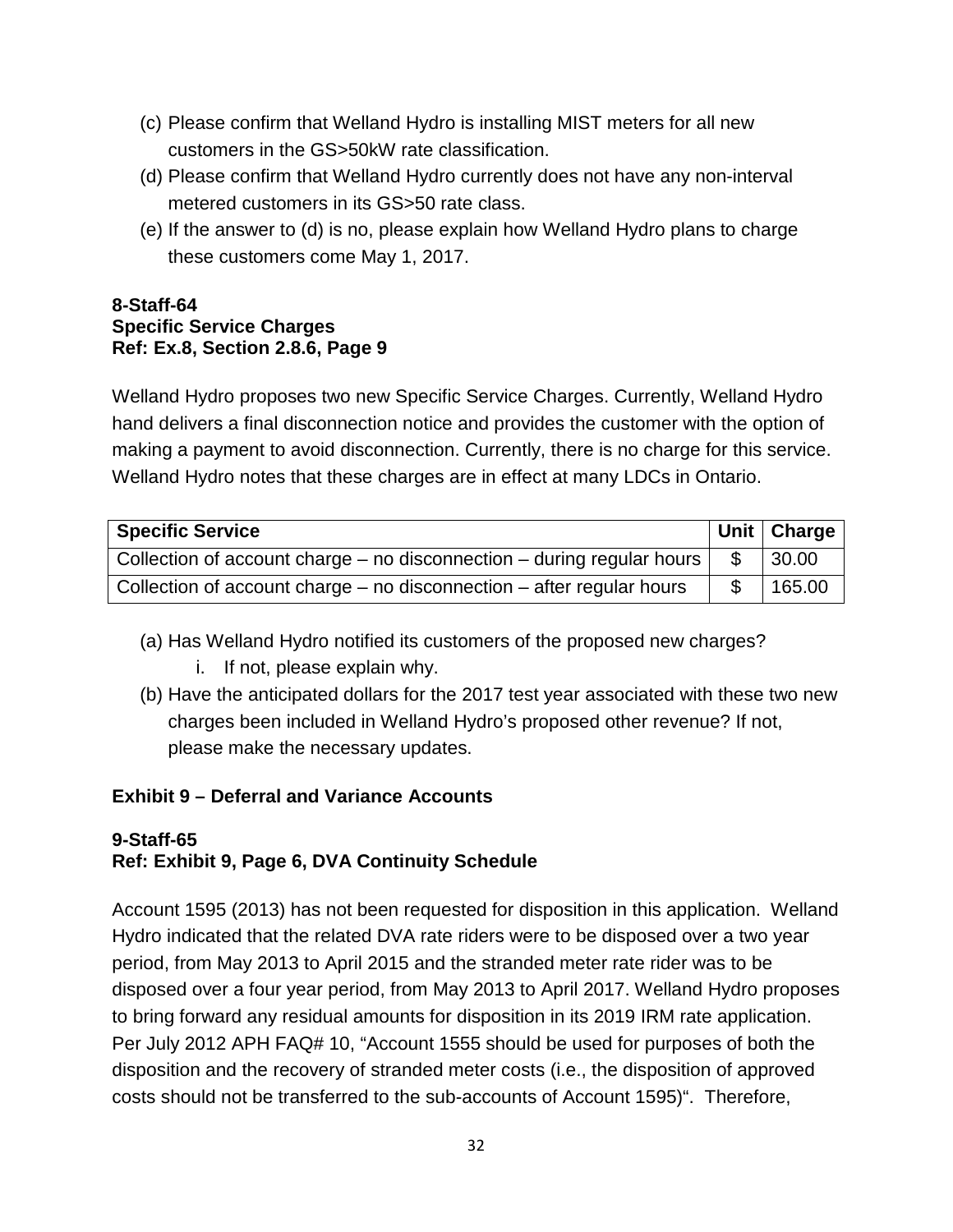- (c) Please confirm that Welland Hydro is installing MIST meters for all new customers in the GS>50kW rate classification.
- (d) Please confirm that Welland Hydro currently does not have any non-interval metered customers in its GS>50 rate class.
- (e) If the answer to (d) is no, please explain how Welland Hydro plans to charge these customers come May 1, 2017.

### **8-Staff-64 Specific Service Charges Ref: Ex.8, Section 2.8.6, Page 9**

Welland Hydro proposes two new Specific Service Charges. Currently, Welland Hydro hand delivers a final disconnection notice and provides the customer with the option of making a payment to avoid disconnection. Currently, there is no charge for this service. Welland Hydro notes that these charges are in effect at many LDCs in Ontario.

| <b>Specific Service</b>                                                    | Unit Charge |
|----------------------------------------------------------------------------|-------------|
| Collection of account charge $-$ no disconnection $-$ during regular hours | 30.00       |
| Collection of account charge $-$ no disconnection $-$ after regular hours  | 165.00      |

- (a) Has Welland Hydro notified its customers of the proposed new charges?
	- i. If not, please explain why.
- (b) Have the anticipated dollars for the 2017 test year associated with these two new charges been included in Welland Hydro's proposed other revenue? If not, please make the necessary updates.

# **Exhibit 9 – Deferral and Variance Accounts**

# **9-Staff-65 Ref: Exhibit 9, Page 6, DVA Continuity Schedule**

Account 1595 (2013) has not been requested for disposition in this application. Welland Hydro indicated that the related DVA rate riders were to be disposed over a two year period, from May 2013 to April 2015 and the stranded meter rate rider was to be disposed over a four year period, from May 2013 to April 2017. Welland Hydro proposes to bring forward any residual amounts for disposition in its 2019 IRM rate application. Per July 2012 APH FAQ# 10, "Account 1555 should be used for purposes of both the disposition and the recovery of stranded meter costs (i.e., the disposition of approved costs should not be transferred to the sub-accounts of Account 1595)". Therefore,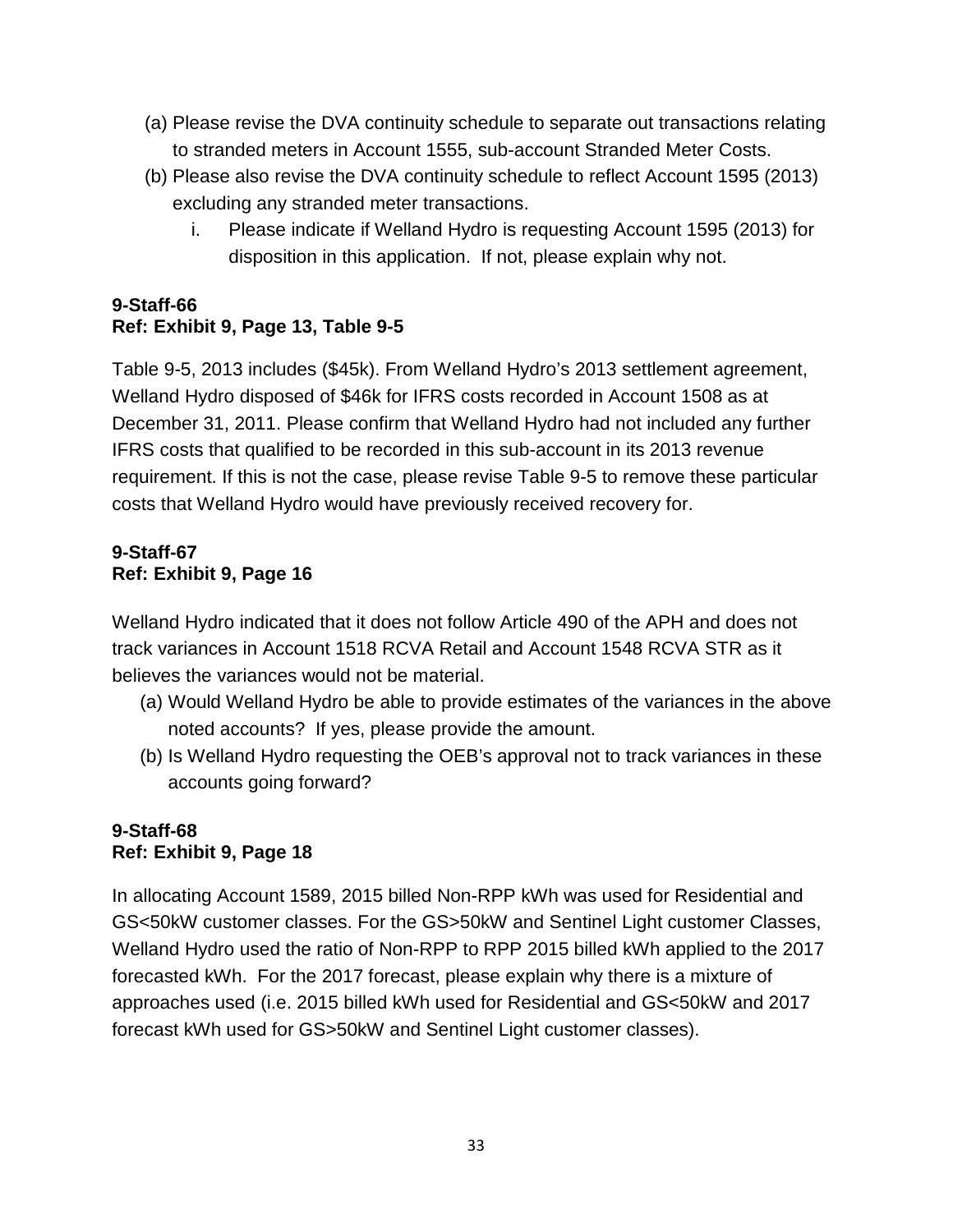- (a) Please revise the DVA continuity schedule to separate out transactions relating to stranded meters in Account 1555, sub-account Stranded Meter Costs.
- (b) Please also revise the DVA continuity schedule to reflect Account 1595 (2013) excluding any stranded meter transactions.
	- i. Please indicate if Welland Hydro is requesting Account 1595 (2013) for disposition in this application. If not, please explain why not.

# **9-Staff-66 Ref: Exhibit 9, Page 13, Table 9-5**

Table 9-5, 2013 includes (\$45k). From Welland Hydro's 2013 settlement agreement, Welland Hydro disposed of \$46k for IFRS costs recorded in Account 1508 as at December 31, 2011. Please confirm that Welland Hydro had not included any further IFRS costs that qualified to be recorded in this sub-account in its 2013 revenue requirement. If this is not the case, please revise Table 9-5 to remove these particular costs that Welland Hydro would have previously received recovery for.

# **9-Staff-67 Ref: Exhibit 9, Page 16**

Welland Hydro indicated that it does not follow Article 490 of the APH and does not track variances in Account 1518 RCVA Retail and Account 1548 RCVA STR as it believes the variances would not be material.

- (a) Would Welland Hydro be able to provide estimates of the variances in the above noted accounts? If yes, please provide the amount.
- (b) Is Welland Hydro requesting the OEB's approval not to track variances in these accounts going forward?

# **9-Staff-68 Ref: Exhibit 9, Page 18**

In allocating Account 1589, 2015 billed Non-RPP kWh was used for Residential and GS<50kW customer classes. For the GS>50kW and Sentinel Light customer Classes, Welland Hydro used the ratio of Non-RPP to RPP 2015 billed kWh applied to the 2017 forecasted kWh. For the 2017 forecast, please explain why there is a mixture of approaches used (i.e. 2015 billed kWh used for Residential and GS<50kW and 2017 forecast kWh used for GS>50kW and Sentinel Light customer classes).